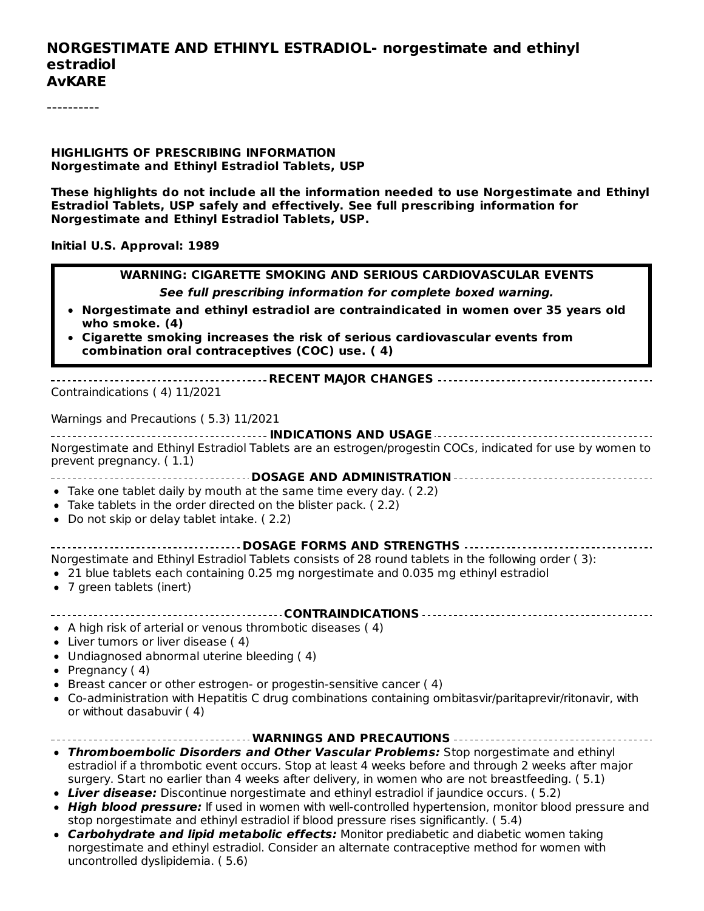#### **NORGESTIMATE AND ETHINYL ESTRADIOL- norgestimate and ethinyl estradiol AvKARE**

----------

#### **HIGHLIGHTS OF PRESCRIBING INFORMATION Norgestimate and Ethinyl Estradiol Tablets, USP**

**These highlights do not include all the information needed to use Norgestimate and Ethinyl Estradiol Tablets, USP safely and effectively. See full prescribing information for Norgestimate and Ethinyl Estradiol Tablets, USP.**

**Initial U.S. Approval: 1989**

#### **WARNING: CIGARETTE SMOKING AND SERIOUS CARDIOVASCULAR EVENTS See full prescribing information for complete boxed warning. Norgestimate and ethinyl estradiol are contraindicated in women over 35 years old who smoke. (4) Cigarette smoking increases the risk of serious cardiovascular events from combination oral contraceptives (COC) use. ( 4) RECENT MAJOR CHANGES** Contraindications ( 4) 11/2021 Warnings and Precautions ( 5.3) 11/2021 **INDICATIONS AND USAGE** Norgestimate and Ethinyl Estradiol Tablets are an estrogen/progestin COCs, indicated for use by women to prevent pregnancy. ( 1.1) **DOSAGE AND ADMINISTRATION** Take one tablet daily by mouth at the same time every day. ( 2.2) Take tablets in the order directed on the blister pack. ( 2.2) Do not skip or delay tablet intake. ( 2.2) **DOSAGE FORMS AND STRENGTHS** Norgestimate and Ethinyl Estradiol Tablets consists of 28 round tablets in the following order ( 3): 21 blue tablets each containing 0.25 mg norgestimate and 0.035 mg ethinyl estradiol 7 green tablets (inert) **CONTRAINDICATIONS** A high risk of arterial or venous thrombotic diseases ( 4) • Liver tumors or liver disease (4) Undiagnosed abnormal uterine bleeding ( 4) • Pregnancy  $(4)$ Breast cancer or other estrogen- or progestin-sensitive cancer ( 4) Co-administration with Hepatitis C drug combinations containing ombitasvir/paritaprevir/ritonavir, with or without dasabuvir ( 4) **WARNINGS AND PRECAUTIONS Thromboembolic Disorders and Other Vascular Problems:** Stop norgestimate and ethinyl estradiol if a thrombotic event occurs. Stop at least 4 weeks before and through 2 weeks after major surgery. Start no earlier than 4 weeks after delivery, in women who are not breastfeeding. ( 5.1)

- **Liver disease:** Discontinue norgestimate and ethinyl estradiol if jaundice occurs. ( 5.2)
- **High blood pressure:** If used in women with well-controlled hypertension, monitor blood pressure and stop norgestimate and ethinyl estradiol if blood pressure rises significantly. ( 5.4)
- **Carbohydrate and lipid metabolic effects:** Monitor prediabetic and diabetic women taking norgestimate and ethinyl estradiol. Consider an alternate contraceptive method for women with uncontrolled dyslipidemia. ( 5.6)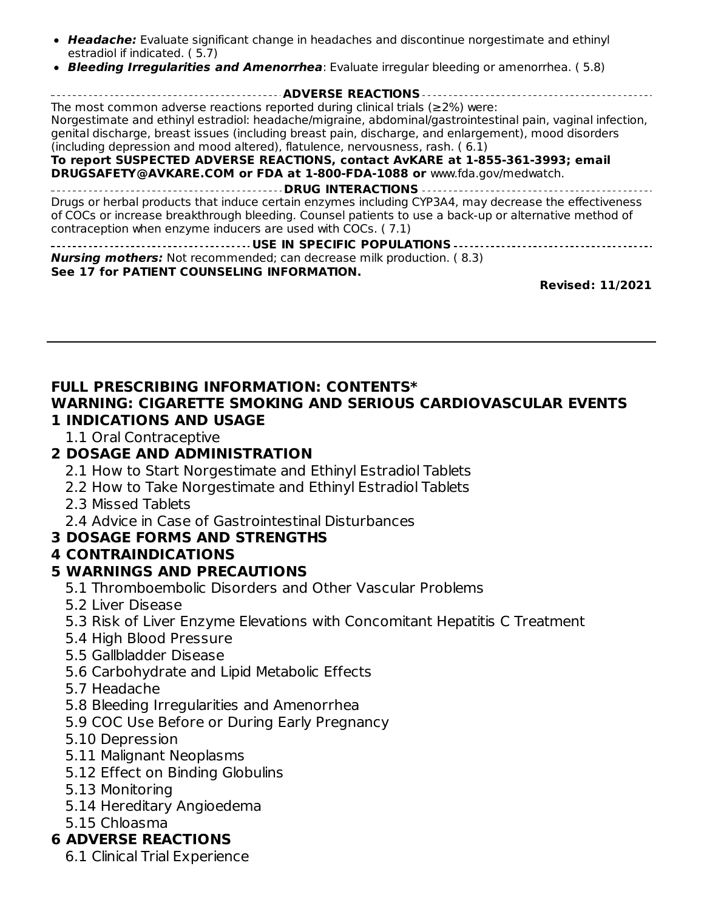- **Headache:** Evaluate significant change in headaches and discontinue norgestimate and ethinyl estradiol if indicated. ( 5.7)
- **Bleeding Irregularities and Amenorrhea**: Evaluate irregular bleeding or amenorrhea. ( 5.8)

**ADVERSE REACTIONS** The most common adverse reactions reported during clinical trials ( $\geq$ 2%) were: Norgestimate and ethinyl estradiol: headache/migraine, abdominal/gastrointestinal pain, vaginal infection, genital discharge, breast issues (including breast pain, discharge, and enlargement), mood disorders (including depression and mood altered), flatulence, nervousness, rash. ( 6.1) **To report SUSPECTED ADVERSE REACTIONS, contact AvKARE at 1-855-361-3993; email DRUGSAFETY@AVKARE.COM or FDA at 1-800-FDA-1088 or** www.fda.gov/medwatch. **DRUG INTERACTIONS** Drugs or herbal products that induce certain enzymes including CYP3A4, may decrease the effectiveness of COCs or increase breakthrough bleeding. Counsel patients to use a back-up or alternative method of contraception when enzyme inducers are used with COCs. ( 7.1) **USE IN SPECIFIC POPULATIONS Nursing mothers:** Not recommended; can decrease milk production. ( 8.3) **See 17 for PATIENT COUNSELING INFORMATION.**

**Revised: 11/2021**

### **FULL PRESCRIBING INFORMATION: CONTENTS\***

### **WARNING: CIGARETTE SMOKING AND SERIOUS CARDIOVASCULAR EVENTS 1 INDICATIONS AND USAGE**

1.1 Oral Contraceptive

### **2 DOSAGE AND ADMINISTRATION**

- 2.1 How to Start Norgestimate and Ethinyl Estradiol Tablets
- 2.2 How to Take Norgestimate and Ethinyl Estradiol Tablets
- 2.3 Missed Tablets
- 2.4 Advice in Case of Gastrointestinal Disturbances

### **3 DOSAGE FORMS AND STRENGTHS**

### **4 CONTRAINDICATIONS**

## **5 WARNINGS AND PRECAUTIONS**

- 5.1 Thromboembolic Disorders and Other Vascular Problems
- 5.2 Liver Disease
- 5.3 Risk of Liver Enzyme Elevations with Concomitant Hepatitis C Treatment
- 5.4 High Blood Pressure
- 5.5 Gallbladder Disease
- 5.6 Carbohydrate and Lipid Metabolic Effects
- 5.7 Headache
- 5.8 Bleeding Irregularities and Amenorrhea
- 5.9 COC Use Before or During Early Pregnancy
- 5.10 Depression
- 5.11 Malignant Neoplasms
- 5.12 Effect on Binding Globulins
- 5.13 Monitoring
- 5.14 Hereditary Angioedema
- 5.15 Chloasma

## **6 ADVERSE REACTIONS**

6.1 Clinical Trial Experience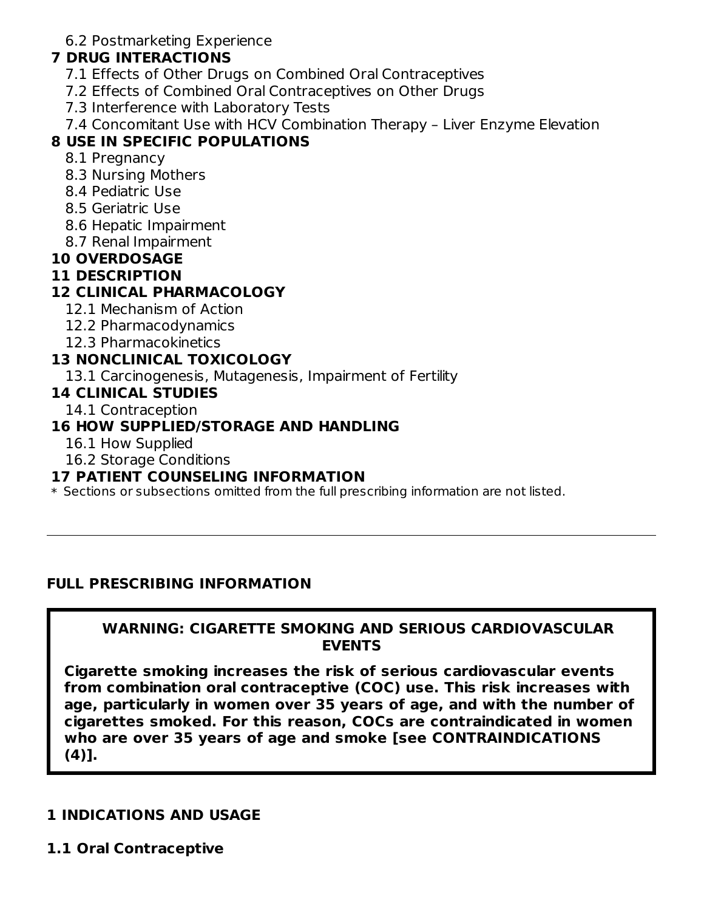6.2 Postmarketing Experience

### **7 DRUG INTERACTIONS**

- 7.1 Effects of Other Drugs on Combined Oral Contraceptives
- 7.2 Effects of Combined Oral Contraceptives on Other Drugs
- 7.3 Interference with Laboratory Tests
- 7.4 Concomitant Use with HCV Combination Therapy Liver Enzyme Elevation

## **8 USE IN SPECIFIC POPULATIONS**

- 8.1 Pregnancy
- 8.3 Nursing Mothers
- 8.4 Pediatric Use
- 8.5 Geriatric Use
- 8.6 Hepatic Impairment
- 8.7 Renal Impairment

## **10 OVERDOSAGE**

### **11 DESCRIPTION**

## **12 CLINICAL PHARMACOLOGY**

- 12.1 Mechanism of Action
- 12.2 Pharmacodynamics
- 12.3 Pharmacokinetics

### **13 NONCLINICAL TOXICOLOGY**

13.1 Carcinogenesis, Mutagenesis, Impairment of Fertility

### **14 CLINICAL STUDIES**

14.1 Contraception

### **16 HOW SUPPLIED/STORAGE AND HANDLING**

- 16.1 How Supplied
- 16.2 Storage Conditions

### **17 PATIENT COUNSELING INFORMATION**

 $\ast$  Sections or subsections omitted from the full prescribing information are not listed.

### **FULL PRESCRIBING INFORMATION**

### **WARNING: CIGARETTE SMOKING AND SERIOUS CARDIOVASCULAR EVENTS**

**Cigarette smoking increases the risk of serious cardiovascular events from combination oral contraceptive (COC) use. This risk increases with age, particularly in women over 35 years of age, and with the number of cigarettes smoked. For this reason, COCs are contraindicated in women who are over 35 years of age and smoke [see CONTRAINDICATIONS (4)].**

### **1 INDICATIONS AND USAGE**

**1.1 Oral Contraceptive**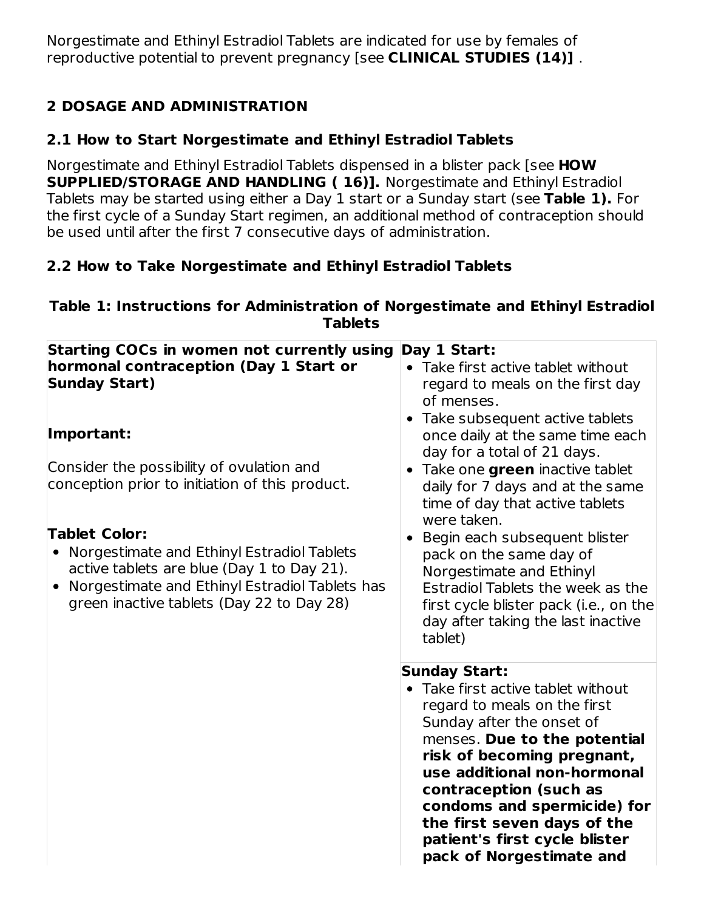Norgestimate and Ethinyl Estradiol Tablets are indicated for use by females of reproductive potential to prevent pregnancy [see **CLINICAL STUDIES (14)]** .

## **2 DOSAGE AND ADMINISTRATION**

### **2.1 How to Start Norgestimate and Ethinyl Estradiol Tablets**

Norgestimate and Ethinyl Estradiol Tablets dispensed in a blister pack [see **HOW SUPPLIED/STORAGE AND HANDLING ( 16)].** Norgestimate and Ethinyl Estradiol Tablets may be started using either a Day 1 start or a Sunday start (see **Table 1).** For the first cycle of a Sunday Start regimen, an additional method of contraception should be used until after the first 7 consecutive days of administration.

## **2.2 How to Take Norgestimate and Ethinyl Estradiol Tablets**

### **Table 1: Instructions for Administration of Norgestimate and Ethinyl Estradiol Tablets**

| Starting COCs in women not currently using Day 1 Start:                                       |                                                                                                                                                                                                                                                                                                                                                   |
|-----------------------------------------------------------------------------------------------|---------------------------------------------------------------------------------------------------------------------------------------------------------------------------------------------------------------------------------------------------------------------------------------------------------------------------------------------------|
| hormonal contraception (Day 1 Start or                                                        | • Take first active tablet without                                                                                                                                                                                                                                                                                                                |
| <b>Sunday Start)</b>                                                                          | regard to meals on the first day<br>of menses.                                                                                                                                                                                                                                                                                                    |
| Important:                                                                                    | Take subsequent active tablets<br>once daily at the same time each<br>day for a total of 21 days.                                                                                                                                                                                                                                                 |
| Consider the possibility of ovulation and<br>conception prior to initiation of this product.  | Take one green inactive tablet<br>$\bullet$<br>daily for 7 days and at the same<br>time of day that active tablets<br>were taken.                                                                                                                                                                                                                 |
| <b>Tablet Color:</b>                                                                          | Begin each subsequent blister                                                                                                                                                                                                                                                                                                                     |
| • Norgestimate and Ethinyl Estradiol Tablets<br>active tablets are blue (Day 1 to Day 21).    | pack on the same day of                                                                                                                                                                                                                                                                                                                           |
| • Norgestimate and Ethinyl Estradiol Tablets has<br>green inactive tablets (Day 22 to Day 28) | Norgestimate and Ethinyl<br>Estradiol Tablets the week as the<br>first cycle blister pack (i.e., on the<br>day after taking the last inactive<br>tablet)                                                                                                                                                                                          |
|                                                                                               | <b>Sunday Start:</b>                                                                                                                                                                                                                                                                                                                              |
|                                                                                               | • Take first active tablet without<br>regard to meals on the first<br>Sunday after the onset of<br>menses. Due to the potential<br>risk of becoming pregnant,<br>use additional non-hormonal<br>contraception (such as<br>condoms and spermicide) for<br>the first seven days of the<br>patient's first cycle blister<br>pack of Norgestimate and |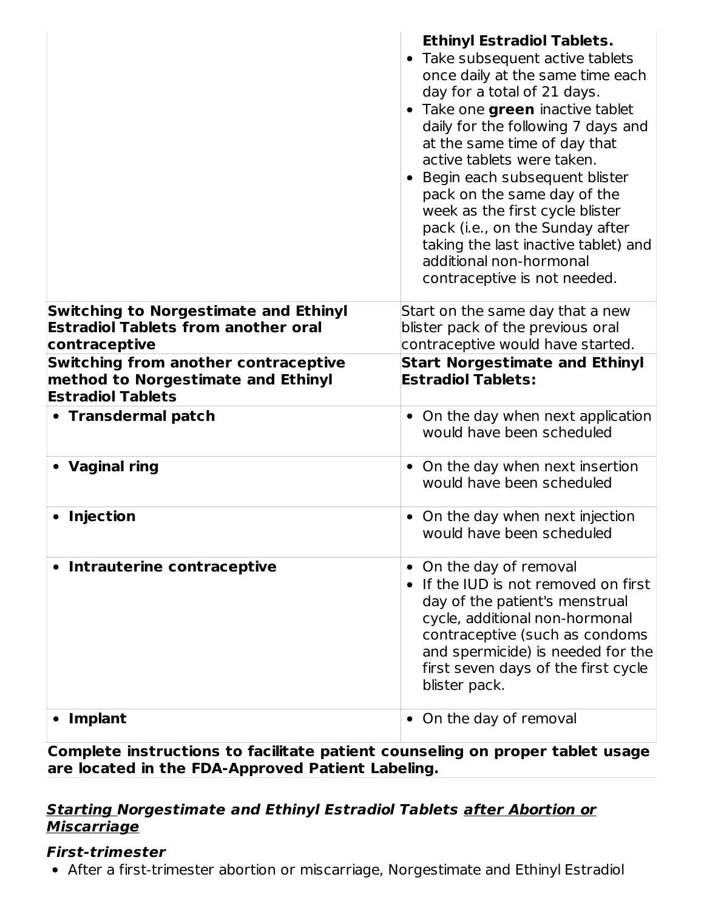|                                                                                                               | <b>Ethinyl Estradiol Tablets.</b><br>• Take subsequent active tablets<br>once daily at the same time each<br>day for a total of 21 days.<br>• Take one green inactive tablet<br>daily for the following 7 days and<br>at the same time of day that<br>active tablets were taken.<br>Begin each subsequent blister<br>pack on the same day of the<br>week as the first cycle blister<br>pack (i.e., on the Sunday after<br>taking the last inactive tablet) and<br>additional non-hormonal<br>contraceptive is not needed. |
|---------------------------------------------------------------------------------------------------------------|---------------------------------------------------------------------------------------------------------------------------------------------------------------------------------------------------------------------------------------------------------------------------------------------------------------------------------------------------------------------------------------------------------------------------------------------------------------------------------------------------------------------------|
| <b>Switching to Norgestimate and Ethinyl</b><br><b>Estradiol Tablets from another oral</b><br>contraceptive   | Start on the same day that a new<br>blister pack of the previous oral<br>contraceptive would have started.                                                                                                                                                                                                                                                                                                                                                                                                                |
| <b>Switching from another contraceptive</b><br>method to Norgestimate and Ethinyl<br><b>Estradiol Tablets</b> | <b>Start Norgestimate and Ethinyl</b><br><b>Estradiol Tablets:</b>                                                                                                                                                                                                                                                                                                                                                                                                                                                        |
| • Transdermal patch                                                                                           | On the day when next application<br>$\bullet$<br>would have been scheduled                                                                                                                                                                                                                                                                                                                                                                                                                                                |
| • Vaginal ring                                                                                                | • On the day when next insertion<br>would have been scheduled                                                                                                                                                                                                                                                                                                                                                                                                                                                             |
| <b>Injection</b>                                                                                              | • On the day when next injection<br>would have been scheduled                                                                                                                                                                                                                                                                                                                                                                                                                                                             |
| • Intrauterine contraceptive                                                                                  | On the day of removal<br>If the IUD is not removed on first<br>day of the patient's menstrual<br>cycle, additional non-hormonal<br>contraceptive (such as condoms<br>and spermicide) is needed for the<br>first seven days of the first cycle<br>blister pack.                                                                                                                                                                                                                                                            |
| <b>Implant</b>                                                                                                | • On the day of removal                                                                                                                                                                                                                                                                                                                                                                                                                                                                                                   |

**Complete instructions to facilitate patient counseling on proper tablet usage are located in the FDA-Approved Patient Labeling.**

### **Starting Norgestimate and Ethinyl Estradiol Tablets after Abortion or Miscarriage**

### **First-trimester**

After a first-trimester abortion or miscarriage, Norgestimate and Ethinyl Estradiol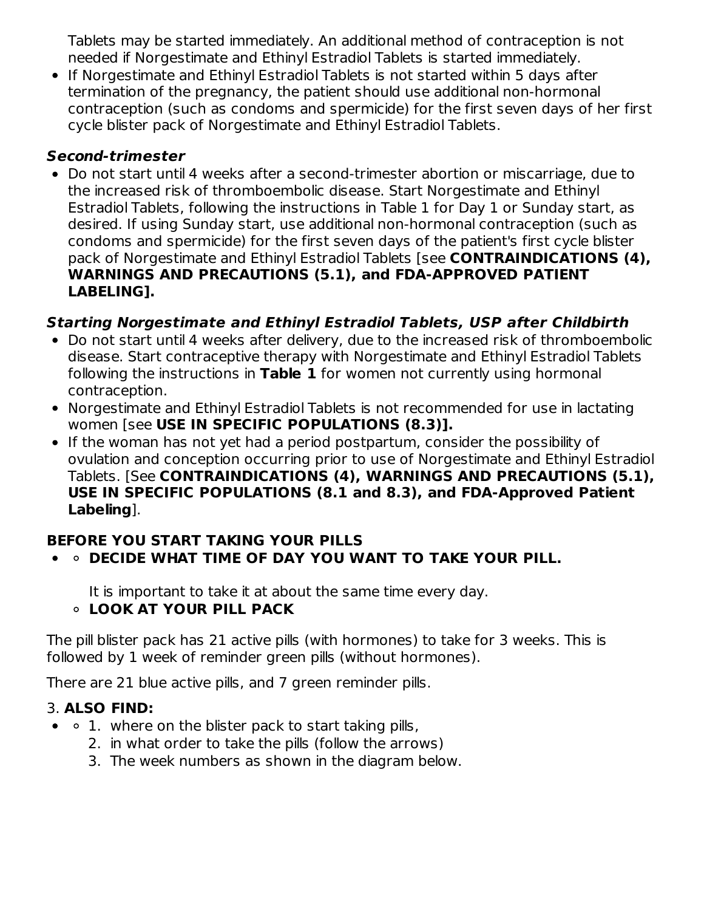Tablets may be started immediately. An additional method of contraception is not needed if Norgestimate and Ethinyl Estradiol Tablets is started immediately.

• If Norgestimate and Ethinyl Estradiol Tablets is not started within 5 days after termination of the pregnancy, the patient should use additional non-hormonal contraception (such as condoms and spermicide) for the first seven days of her first cycle blister pack of Norgestimate and Ethinyl Estradiol Tablets.

### **Second-trimester**

Do not start until 4 weeks after a second-trimester abortion or miscarriage, due to the increased risk of thromboembolic disease. Start Norgestimate and Ethinyl Estradiol Tablets, following the instructions in Table 1 for Day 1 or Sunday start, as desired. If using Sunday start, use additional non-hormonal contraception (such as condoms and spermicide) for the first seven days of the patient's first cycle blister pack of Norgestimate and Ethinyl Estradiol Tablets [see **CONTRAINDICATIONS (4), WARNINGS AND PRECAUTIONS (5.1), and FDA-APPROVED PATIENT LABELING].**

## **Starting Norgestimate and Ethinyl Estradiol Tablets, USP after Childbirth**

- Do not start until 4 weeks after delivery, due to the increased risk of thromboembolic disease. Start contraceptive therapy with Norgestimate and Ethinyl Estradiol Tablets following the instructions in **Table 1** for women not currently using hormonal contraception.
- Norgestimate and Ethinyl Estradiol Tablets is not recommended for use in lactating women [see **USE IN SPECIFIC POPULATIONS (8.3)].**
- If the woman has not yet had a period postpartum, consider the possibility of ovulation and conception occurring prior to use of Norgestimate and Ethinyl Estradiol Tablets. [See **CONTRAINDICATIONS (4), WARNINGS AND PRECAUTIONS (5.1), USE IN SPECIFIC POPULATIONS (8.1 and 8.3), and FDA-Approved Patient Labeling**].

### **BEFORE YOU START TAKING YOUR PILLS**

### **DECIDE WHAT TIME OF DAY YOU WANT TO TAKE YOUR PILL.**

It is important to take it at about the same time every day.

## **LOOK AT YOUR PILL PACK**

The pill blister pack has 21 active pills (with hormones) to take for 3 weeks. This is followed by 1 week of reminder green pills (without hormones).

There are 21 blue active pills, and 7 green reminder pills.

### 3. **ALSO FIND:**

- $\bullet$   $\circ$  1. where on the blister pack to start taking pills,
	- 2. in what order to take the pills (follow the arrows)
	- 3. The week numbers as shown in the diagram below.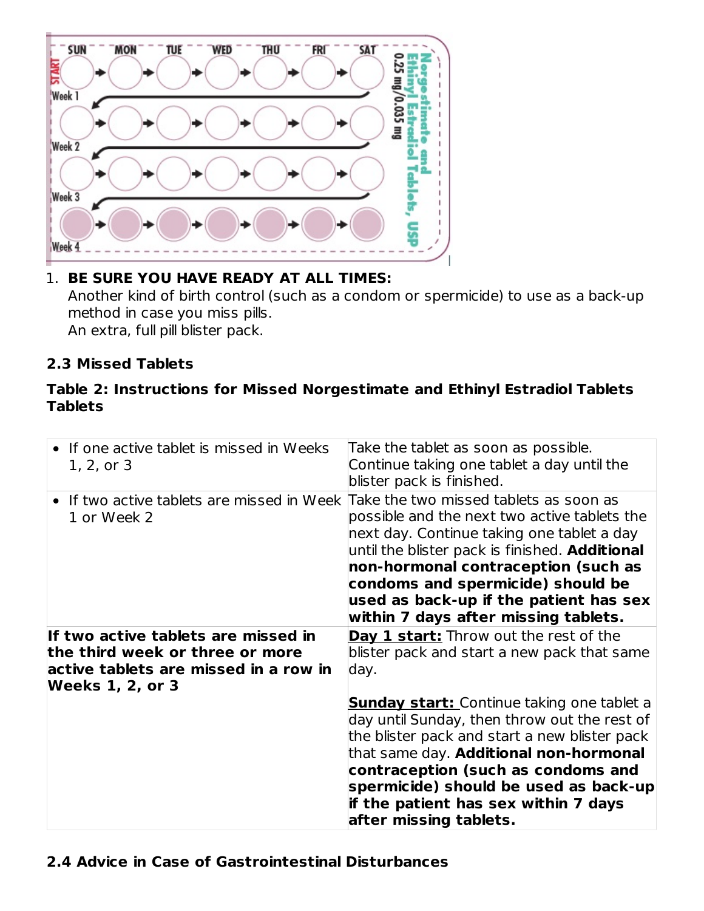

## 1. **BE SURE YOU HAVE READY AT ALL TIMES:**

Another kind of birth control (such as a condom or spermicide) to use as a back-up method in case you miss pills.

An extra, full pill blister pack.

### **2.3 Missed Tablets**

### **Table 2: Instructions for Missed Norgestimate and Ethinyl Estradiol Tablets Tablets**

| • If one active tablet is missed in Weeks<br>1, 2, or 3                                                                                    | Take the tablet as soon as possible.<br>Continue taking one tablet a day until the<br>blister pack is finished.                                                                                                                                                                                                                               |
|--------------------------------------------------------------------------------------------------------------------------------------------|-----------------------------------------------------------------------------------------------------------------------------------------------------------------------------------------------------------------------------------------------------------------------------------------------------------------------------------------------|
| • If two active tablets are missed in Week Take the two missed tablets as soon as<br>1 or Week 2                                           | possible and the next two active tablets the<br>next day. Continue taking one tablet a day<br>until the blister pack is finished. <b>Additional</b><br>non-hormonal contraception (such as<br>condoms and spermicide) should be<br>used as back-up if the patient has sex<br>within 7 days after missing tablets.                             |
| If two active tablets are missed in<br>the third week or three or more<br>active tablets are missed in a row in<br><b>Weeks 1, 2, or 3</b> | <b>Day 1 start:</b> Throw out the rest of the<br>blister pack and start a new pack that same<br>day.                                                                                                                                                                                                                                          |
|                                                                                                                                            | <b>Sunday start:</b> Continue taking one tablet a<br>day until Sunday, then throw out the rest of<br>the blister pack and start a new blister pack<br>that same day. Additional non-hormonal<br>contraception (such as condoms and<br>spermicide) should be used as back-up<br>if the patient has sex within 7 days<br>after missing tablets. |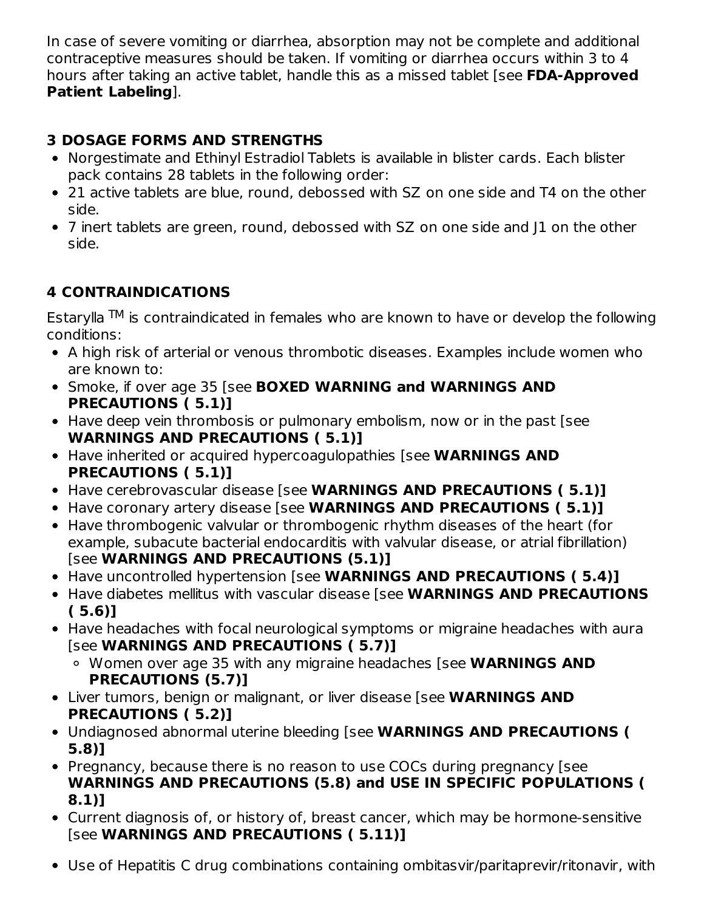In case of severe vomiting or diarrhea, absorption may not be complete and additional contraceptive measures should be taken. If vomiting or diarrhea occurs within 3 to 4 hours after taking an active tablet, handle this as a missed tablet [see **FDA-Approved Patient Labeling**].

## **3 DOSAGE FORMS AND STRENGTHS**

- Norgestimate and Ethinyl Estradiol Tablets is available in blister cards. Each blister pack contains 28 tablets in the following order:
- 21 active tablets are blue, round, debossed with SZ on one side and T4 on the other side.
- 7 inert tablets are green, round, debossed with SZ on one side and J1 on the other side.

## **4 CONTRAINDICATIONS**

Estarylla  $TM$  is contraindicated in females who are known to have or develop the following conditions:

- A high risk of arterial or venous thrombotic diseases. Examples include women who are known to:
- Smoke, if over age 35 [see **BOXED WARNING and WARNINGS AND PRECAUTIONS ( 5.1)]**
- Have deep vein thrombosis or pulmonary embolism, now or in the past [see **WARNINGS AND PRECAUTIONS ( 5.1)]**
- Have inherited or acquired hypercoagulopathies [see **WARNINGS AND PRECAUTIONS ( 5.1)]**
- Have cerebrovascular disease [see **WARNINGS AND PRECAUTIONS ( 5.1)]**
- Have coronary artery disease [see **WARNINGS AND PRECAUTIONS ( 5.1)]**
- Have thrombogenic valvular or thrombogenic rhythm diseases of the heart (for example, subacute bacterial endocarditis with valvular disease, or atrial fibrillation) [see **WARNINGS AND PRECAUTIONS (5.1)]**
- Have uncontrolled hypertension [see **WARNINGS AND PRECAUTIONS ( 5.4)]**
- Have diabetes mellitus with vascular disease [see **WARNINGS AND PRECAUTIONS ( 5.6)]**
- Have headaches with focal neurological symptoms or migraine headaches with aura [see **WARNINGS AND PRECAUTIONS ( 5.7)]**
	- Women over age 35 with any migraine headaches [see **WARNINGS AND PRECAUTIONS (5.7)]**
- Liver tumors, benign or malignant, or liver disease [see **WARNINGS AND PRECAUTIONS ( 5.2)]**
- Undiagnosed abnormal uterine bleeding [see **WARNINGS AND PRECAUTIONS ( 5.8)]**
- Pregnancy, because there is no reason to use COCs during pregnancy [see **WARNINGS AND PRECAUTIONS (5.8) and USE IN SPECIFIC POPULATIONS ( 8.1)]**
- Current diagnosis of, or history of, breast cancer, which may be hormone-sensitive [see **WARNINGS AND PRECAUTIONS ( 5.11)]**
- Use of Hepatitis C drug combinations containing ombitasvir/paritaprevir/ritonavir, with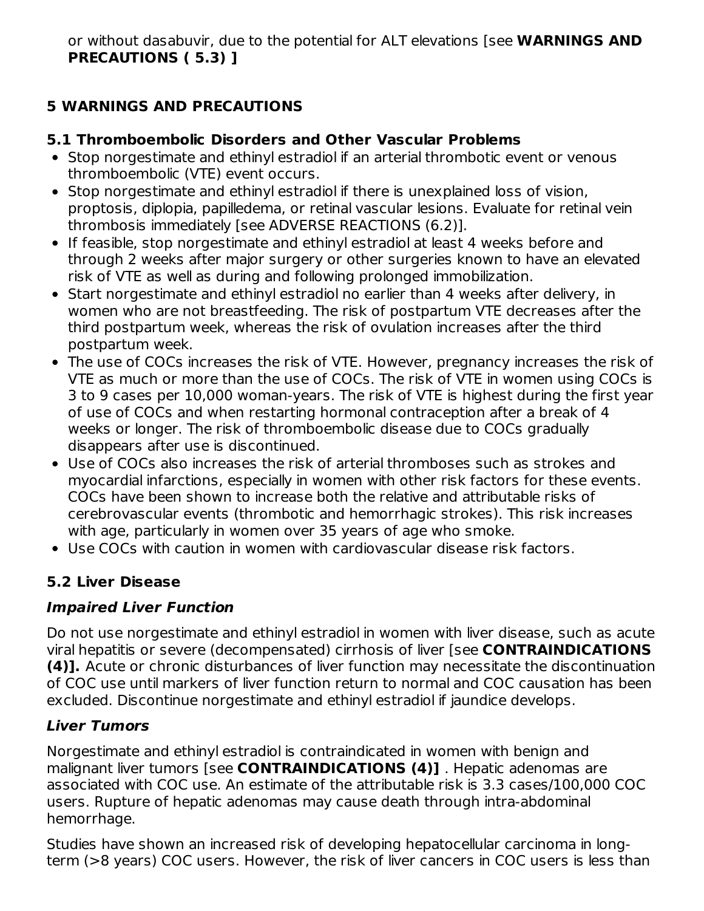## **5 WARNINGS AND PRECAUTIONS**

## **5.1 Thromboembolic Disorders and Other Vascular Problems**

- Stop norgestimate and ethinyl estradiol if an arterial thrombotic event or venous thromboembolic (VTE) event occurs.
- Stop norgestimate and ethinyl estradiol if there is unexplained loss of vision, proptosis, diplopia, papilledema, or retinal vascular lesions. Evaluate for retinal vein thrombosis immediately [see ADVERSE REACTIONS (6.2)].
- If feasible, stop norgestimate and ethinyl estradiol at least 4 weeks before and through 2 weeks after major surgery or other surgeries known to have an elevated risk of VTE as well as during and following prolonged immobilization.
- Start norgestimate and ethinyl estradiol no earlier than 4 weeks after delivery, in women who are not breastfeeding. The risk of postpartum VTE decreases after the third postpartum week, whereas the risk of ovulation increases after the third postpartum week.
- The use of COCs increases the risk of VTE. However, pregnancy increases the risk of VTE as much or more than the use of COCs. The risk of VTE in women using COCs is 3 to 9 cases per 10,000 woman-years. The risk of VTE is highest during the first year of use of COCs and when restarting hormonal contraception after a break of 4 weeks or longer. The risk of thromboembolic disease due to COCs gradually disappears after use is discontinued.
- Use of COCs also increases the risk of arterial thromboses such as strokes and myocardial infarctions, especially in women with other risk factors for these events. COCs have been shown to increase both the relative and attributable risks of cerebrovascular events (thrombotic and hemorrhagic strokes). This risk increases with age, particularly in women over 35 years of age who smoke.
- Use COCs with caution in women with cardiovascular disease risk factors.

## **5.2 Liver Disease**

## **Impaired Liver Function**

Do not use norgestimate and ethinyl estradiol in women with liver disease, such as acute viral hepatitis or severe (decompensated) cirrhosis of liver [see **CONTRAINDICATIONS (4)].** Acute or chronic disturbances of liver function may necessitate the discontinuation of COC use until markers of liver function return to normal and COC causation has been excluded. Discontinue norgestimate and ethinyl estradiol if jaundice develops.

## **Liver Tumors**

Norgestimate and ethinyl estradiol is contraindicated in women with benign and malignant liver tumors [see **CONTRAINDICATIONS (4)]** . Hepatic adenomas are associated with COC use. An estimate of the attributable risk is 3.3 cases/100,000 COC users. Rupture of hepatic adenomas may cause death through intra-abdominal hemorrhage.

Studies have shown an increased risk of developing hepatocellular carcinoma in longterm (>8 years) COC users. However, the risk of liver cancers in COC users is less than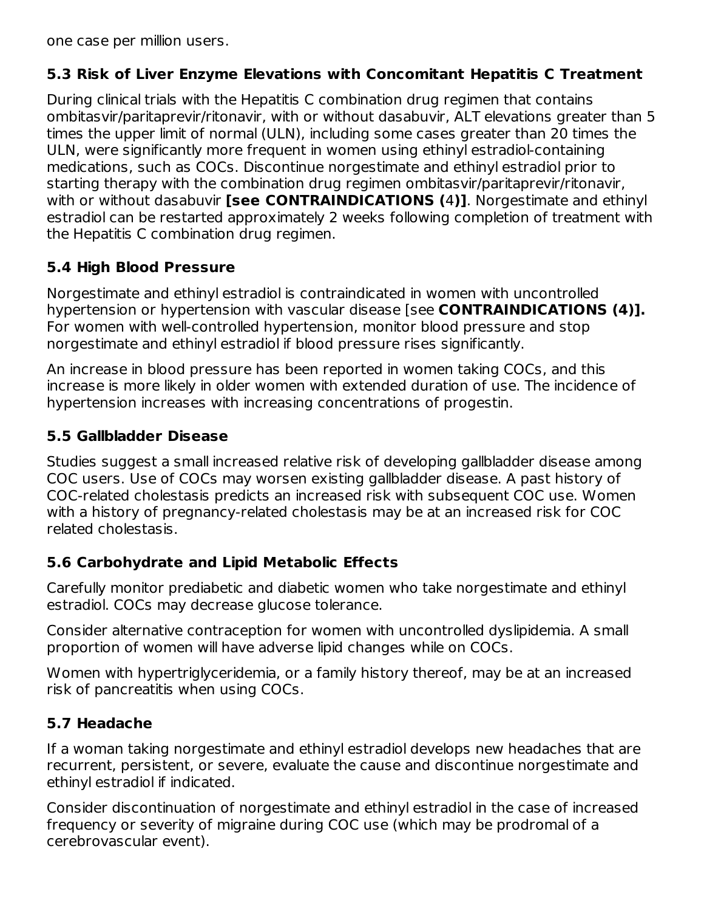one case per million users.

## **5.3 Risk of Liver Enzyme Elevations with Concomitant Hepatitis C Treatment**

During clinical trials with the Hepatitis C combination drug regimen that contains ombitasvir/paritaprevir/ritonavir, with or without dasabuvir, ALT elevations greater than 5 times the upper limit of normal (ULN), including some cases greater than 20 times the ULN, were significantly more frequent in women using ethinyl estradiol-containing medications, such as COCs. Discontinue norgestimate and ethinyl estradiol prior to starting therapy with the combination drug regimen ombitasvir/paritaprevir/ritonavir, with or without dasabuvir **[see CONTRAINDICATIONS (**4**)]**. Norgestimate and ethinyl estradiol can be restarted approximately 2 weeks following completion of treatment with the Hepatitis C combination drug regimen.

## **5.4 High Blood Pressure**

Norgestimate and ethinyl estradiol is contraindicated in women with uncontrolled hypertension or hypertension with vascular disease [see **CONTRAINDICATIONS (4)].** For women with well-controlled hypertension, monitor blood pressure and stop norgestimate and ethinyl estradiol if blood pressure rises significantly.

An increase in blood pressure has been reported in women taking COCs, and this increase is more likely in older women with extended duration of use. The incidence of hypertension increases with increasing concentrations of progestin.

### **5.5 Gallbladder Disease**

Studies suggest a small increased relative risk of developing gallbladder disease among COC users. Use of COCs may worsen existing gallbladder disease. A past history of COC-related cholestasis predicts an increased risk with subsequent COC use. Women with a history of pregnancy-related cholestasis may be at an increased risk for COC related cholestasis.

## **5.6 Carbohydrate and Lipid Metabolic Effects**

Carefully monitor prediabetic and diabetic women who take norgestimate and ethinyl estradiol. COCs may decrease glucose tolerance.

Consider alternative contraception for women with uncontrolled dyslipidemia. A small proportion of women will have adverse lipid changes while on COCs.

Women with hypertriglyceridemia, or a family history thereof, may be at an increased risk of pancreatitis when using COCs.

## **5.7 Headache**

If a woman taking norgestimate and ethinyl estradiol develops new headaches that are recurrent, persistent, or severe, evaluate the cause and discontinue norgestimate and ethinyl estradiol if indicated.

Consider discontinuation of norgestimate and ethinyl estradiol in the case of increased frequency or severity of migraine during COC use (which may be prodromal of a cerebrovascular event).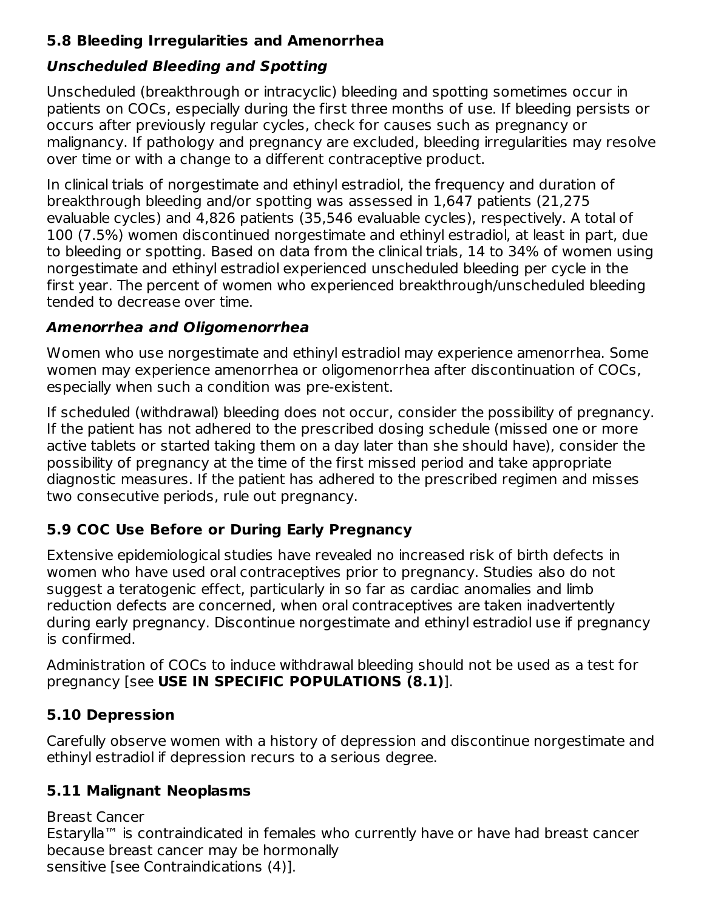## **5.8 Bleeding Irregularities and Amenorrhea**

## **Unscheduled Bleeding and Spotting**

Unscheduled (breakthrough or intracyclic) bleeding and spotting sometimes occur in patients on COCs, especially during the first three months of use. If bleeding persists or occurs after previously regular cycles, check for causes such as pregnancy or malignancy. If pathology and pregnancy are excluded, bleeding irregularities may resolve over time or with a change to a different contraceptive product.

In clinical trials of norgestimate and ethinyl estradiol, the frequency and duration of breakthrough bleeding and/or spotting was assessed in 1,647 patients (21,275 evaluable cycles) and 4,826 patients (35,546 evaluable cycles), respectively. A total of 100 (7.5%) women discontinued norgestimate and ethinyl estradiol, at least in part, due to bleeding or spotting. Based on data from the clinical trials, 14 to 34% of women using norgestimate and ethinyl estradiol experienced unscheduled bleeding per cycle in the first year. The percent of women who experienced breakthrough/unscheduled bleeding tended to decrease over time.

### **Amenorrhea and Oligomenorrhea**

Women who use norgestimate and ethinyl estradiol may experience amenorrhea. Some women may experience amenorrhea or oligomenorrhea after discontinuation of COCs, especially when such a condition was pre-existent.

If scheduled (withdrawal) bleeding does not occur, consider the possibility of pregnancy. If the patient has not adhered to the prescribed dosing schedule (missed one or more active tablets or started taking them on a day later than she should have), consider the possibility of pregnancy at the time of the first missed period and take appropriate diagnostic measures. If the patient has adhered to the prescribed regimen and misses two consecutive periods, rule out pregnancy.

## **5.9 COC Use Before or During Early Pregnancy**

Extensive epidemiological studies have revealed no increased risk of birth defects in women who have used oral contraceptives prior to pregnancy. Studies also do not suggest a teratogenic effect, particularly in so far as cardiac anomalies and limb reduction defects are concerned, when oral contraceptives are taken inadvertently during early pregnancy. Discontinue norgestimate and ethinyl estradiol use if pregnancy is confirmed.

Administration of COCs to induce withdrawal bleeding should not be used as a test for pregnancy [see **USE IN SPECIFIC POPULATIONS (8.1)**].

## **5.10 Depression**

Carefully observe women with a history of depression and discontinue norgestimate and ethinyl estradiol if depression recurs to a serious degree.

## **5.11 Malignant Neoplasms**

Breast Cancer Estarylla™ is contraindicated in females who currently have or have had breast cancer because breast cancer may be hormonally sensitive [see Contraindications (4)].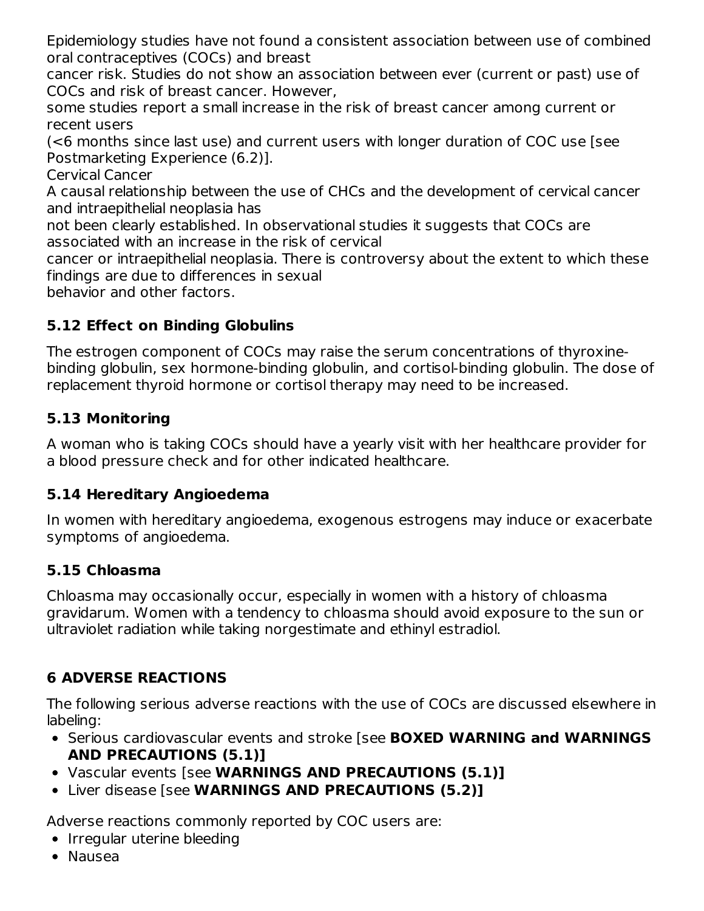Epidemiology studies have not found a consistent association between use of combined oral contraceptives (COCs) and breast

cancer risk. Studies do not show an association between ever (current or past) use of COCs and risk of breast cancer. However,

some studies report a small increase in the risk of breast cancer among current or recent users

(<6 months since last use) and current users with longer duration of COC use [see Postmarketing Experience (6.2)].

Cervical Cancer

A causal relationship between the use of CHCs and the development of cervical cancer and intraepithelial neoplasia has

not been clearly established. In observational studies it suggests that COCs are associated with an increase in the risk of cervical

cancer or intraepithelial neoplasia. There is controversy about the extent to which these findings are due to differences in sexual

behavior and other factors.

## **5.12 Effect on Binding Globulins**

The estrogen component of COCs may raise the serum concentrations of thyroxinebinding globulin, sex hormone-binding globulin, and cortisol-binding globulin. The dose of replacement thyroid hormone or cortisol therapy may need to be increased.

## **5.13 Monitoring**

A woman who is taking COCs should have a yearly visit with her healthcare provider for a blood pressure check and for other indicated healthcare.

### **5.14 Hereditary Angioedema**

In women with hereditary angioedema, exogenous estrogens may induce or exacerbate symptoms of angioedema.

### **5.15 Chloasma**

Chloasma may occasionally occur, especially in women with a history of chloasma gravidarum. Women with a tendency to chloasma should avoid exposure to the sun or ultraviolet radiation while taking norgestimate and ethinyl estradiol.

## **6 ADVERSE REACTIONS**

The following serious adverse reactions with the use of COCs are discussed elsewhere in labeling:

- Serious cardiovascular events and stroke [see **BOXED WARNING and WARNINGS AND PRECAUTIONS (5.1)]**
- Vascular events [see **WARNINGS AND PRECAUTIONS (5.1)]**
- Liver disease [see **WARNINGS AND PRECAUTIONS (5.2)]**

Adverse reactions commonly reported by COC users are:

- Irregular uterine bleeding
- Nausea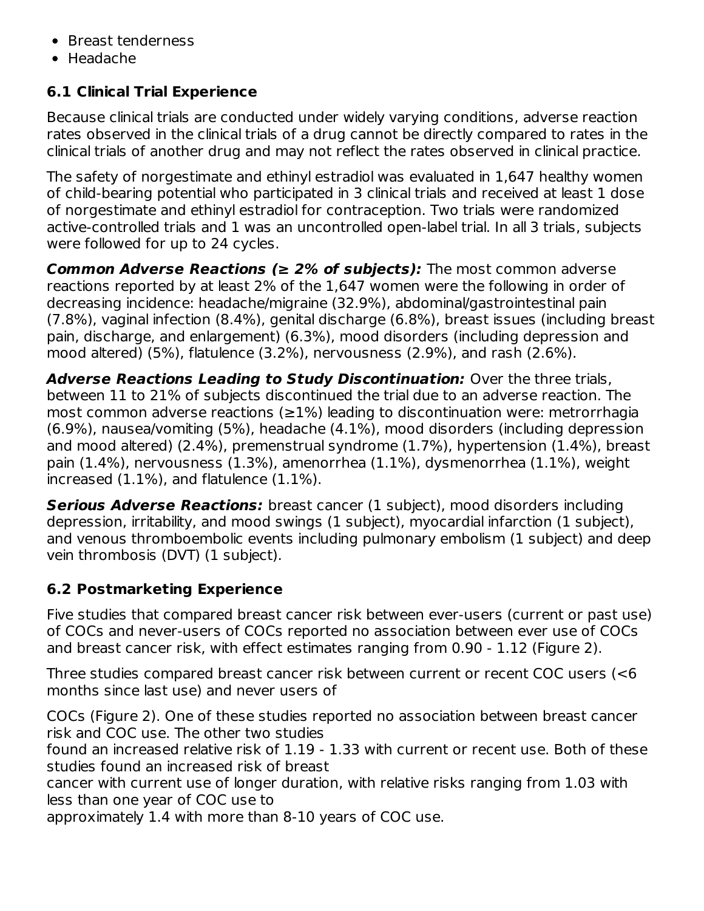- Breast tenderness
- Headache

### **6.1 Clinical Trial Experience**

Because clinical trials are conducted under widely varying conditions, adverse reaction rates observed in the clinical trials of a drug cannot be directly compared to rates in the clinical trials of another drug and may not reflect the rates observed in clinical practice.

The safety of norgestimate and ethinyl estradiol was evaluated in 1,647 healthy women of child-bearing potential who participated in 3 clinical trials and received at least 1 dose of norgestimate and ethinyl estradiol for contraception. Two trials were randomized active-controlled trials and 1 was an uncontrolled open-label trial. In all 3 trials, subjects were followed for up to 24 cycles.

**Common Adverse Reactions (≥ 2% of subjects):** The most common adverse reactions reported by at least 2% of the 1,647 women were the following in order of decreasing incidence: headache/migraine (32.9%), abdominal/gastrointestinal pain (7.8%), vaginal infection (8.4%), genital discharge (6.8%), breast issues (including breast pain, discharge, and enlargement) (6.3%), mood disorders (including depression and mood altered) (5%), flatulence (3.2%), nervousness (2.9%), and rash (2.6%).

**Adverse Reactions Leading to Study Discontinuation:** Over the three trials, between 11 to 21% of subjects discontinued the trial due to an adverse reaction. The most common adverse reactions (≥1%) leading to discontinuation were: metrorrhagia (6.9%), nausea/vomiting (5%), headache (4.1%), mood disorders (including depression and mood altered) (2.4%), premenstrual syndrome (1.7%), hypertension (1.4%), breast pain (1.4%), nervousness (1.3%), amenorrhea (1.1%), dysmenorrhea (1.1%), weight increased (1.1%), and flatulence (1.1%).

**Serious Adverse Reactions:** breast cancer (1 subject), mood disorders including depression, irritability, and mood swings (1 subject), myocardial infarction (1 subject), and venous thromboembolic events including pulmonary embolism (1 subject) and deep vein thrombosis (DVT) (1 subject).

## **6.2 Postmarketing Experience**

Five studies that compared breast cancer risk between ever-users (current or past use) of COCs and never-users of COCs reported no association between ever use of COCs and breast cancer risk, with effect estimates ranging from 0.90 - 1.12 (Figure 2).

Three studies compared breast cancer risk between current or recent COC users (<6 months since last use) and never users of

COCs (Figure 2). One of these studies reported no association between breast cancer risk and COC use. The other two studies

found an increased relative risk of 1.19 - 1.33 with current or recent use. Both of these studies found an increased risk of breast

cancer with current use of longer duration, with relative risks ranging from 1.03 with less than one year of COC use to

approximately 1.4 with more than 8-10 years of COC use.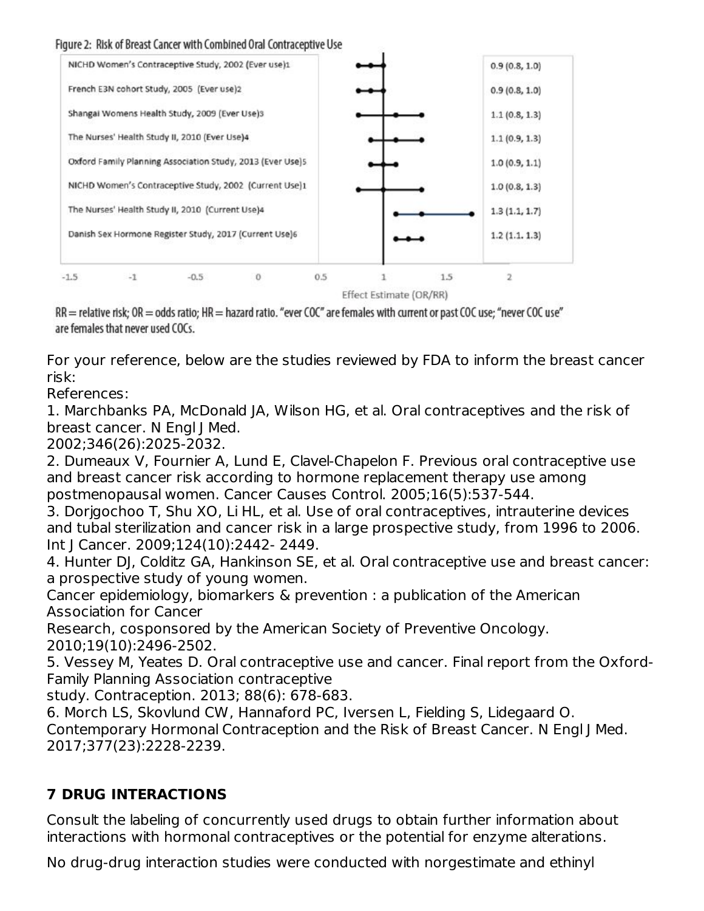Figure 2: Risk of Breast Cancer with Combined Oral Contraceptive Use



 $RR =$  relative risk;  $OR =$  odds ratio;  $HR =$  hazard ratio. "ever  $COC$ " are females with current or past  $COC$  use; "never  $COC$  use" are females that never used COCs.

For your reference, below are the studies reviewed by FDA to inform the breast cancer risk:

References:

1. Marchbanks PA, McDonald JA, Wilson HG, et al. Oral contraceptives and the risk of breast cancer. N Engl | Med.

2002;346(26):2025-2032.

2. Dumeaux V, Fournier A, Lund E, Clavel-Chapelon F. Previous oral contraceptive use and breast cancer risk according to hormone replacement therapy use among postmenopausal women. Cancer Causes Control. 2005;16(5):537-544.

3. Dorjgochoo T, Shu XO, Li HL, et al. Use of oral contraceptives, intrauterine devices and tubal sterilization and cancer risk in a large prospective study, from 1996 to 2006. Int J Cancer. 2009;124(10):2442- 2449.

4. Hunter DJ, Colditz GA, Hankinson SE, et al. Oral contraceptive use and breast cancer: a prospective study of young women.

Cancer epidemiology, biomarkers & prevention : a publication of the American Association for Cancer

Research, cosponsored by the American Society of Preventive Oncology. 2010;19(10):2496-2502.

5. Vessey M, Yeates D. Oral contraceptive use and cancer. Final report from the Oxford-Family Planning Association contraceptive

study. Contraception. 2013; 88(6): 678-683.

6. Morch LS, Skovlund CW, Hannaford PC, Iversen L, Fielding S, Lidegaard O.

Contemporary Hormonal Contraception and the Risk of Breast Cancer. N Engl J Med. 2017;377(23):2228-2239.

## **7 DRUG INTERACTIONS**

Consult the labeling of concurrently used drugs to obtain further information about interactions with hormonal contraceptives or the potential for enzyme alterations.

No drug-drug interaction studies were conducted with norgestimate and ethinyl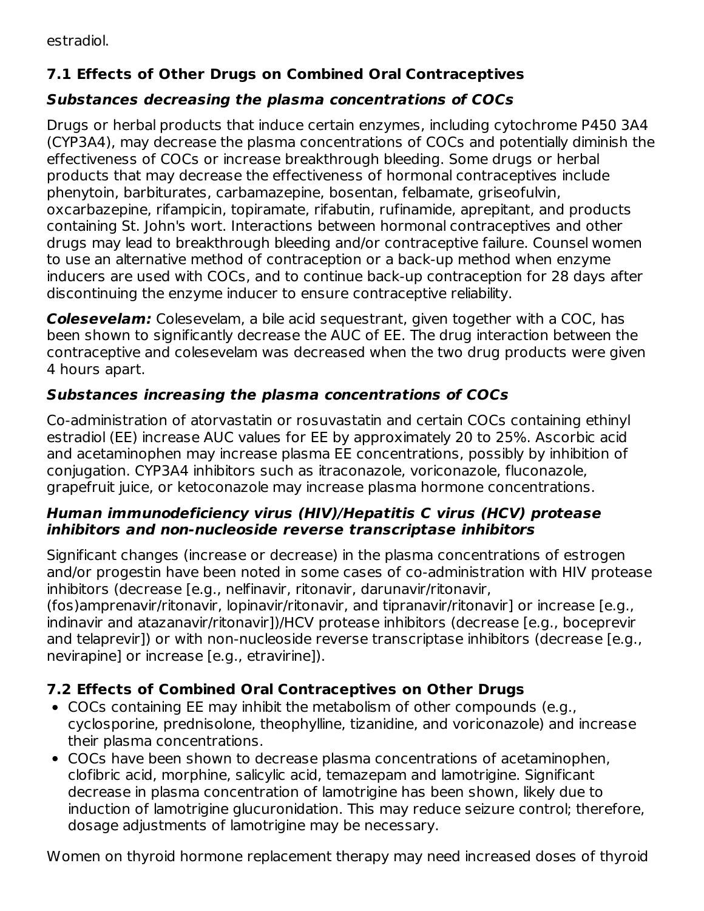estradiol.

## **7.1 Effects of Other Drugs on Combined Oral Contraceptives**

## **Substances decreasing the plasma concentrations of COCs**

Drugs or herbal products that induce certain enzymes, including cytochrome P450 3A4 (CYP3A4), may decrease the plasma concentrations of COCs and potentially diminish the effectiveness of COCs or increase breakthrough bleeding. Some drugs or herbal products that may decrease the effectiveness of hormonal contraceptives include phenytoin, barbiturates, carbamazepine, bosentan, felbamate, griseofulvin, oxcarbazepine, rifampicin, topiramate, rifabutin, rufinamide, aprepitant, and products containing St. John's wort. Interactions between hormonal contraceptives and other drugs may lead to breakthrough bleeding and/or contraceptive failure. Counsel women to use an alternative method of contraception or a back-up method when enzyme inducers are used with COCs, and to continue back-up contraception for 28 days after discontinuing the enzyme inducer to ensure contraceptive reliability.

**Colesevelam:** Colesevelam, a bile acid sequestrant, given together with a COC, has been shown to significantly decrease the AUC of EE. The drug interaction between the contraceptive and colesevelam was decreased when the two drug products were given 4 hours apart.

## **Substances increasing the plasma concentrations of COCs**

Co-administration of atorvastatin or rosuvastatin and certain COCs containing ethinyl estradiol (EE) increase AUC values for EE by approximately 20 to 25%. Ascorbic acid and acetaminophen may increase plasma EE concentrations, possibly by inhibition of conjugation. CYP3A4 inhibitors such as itraconazole, voriconazole, fluconazole, grapefruit juice, or ketoconazole may increase plasma hormone concentrations.

### **Human immunodeficiency virus (HIV)/Hepatitis C virus (HCV) protease inhibitors and non-nucleoside reverse transcriptase inhibitors**

Significant changes (increase or decrease) in the plasma concentrations of estrogen and/or progestin have been noted in some cases of co-administration with HIV protease inhibitors (decrease [e.g., nelfinavir, ritonavir, darunavir/ritonavir,

(fos)amprenavir/ritonavir, lopinavir/ritonavir, and tipranavir/ritonavir] or increase [e.g., indinavir and atazanavir/ritonavir])/HCV protease inhibitors (decrease [e.g., boceprevir and telaprevir]) or with non-nucleoside reverse transcriptase inhibitors (decrease [e.g., nevirapine] or increase [e.g., etravirine]).

## **7.2 Effects of Combined Oral Contraceptives on Other Drugs**

- COCs containing EE may inhibit the metabolism of other compounds (e.g., cyclosporine, prednisolone, theophylline, tizanidine, and voriconazole) and increase their plasma concentrations.
- COCs have been shown to decrease plasma concentrations of acetaminophen, clofibric acid, morphine, salicylic acid, temazepam and lamotrigine. Significant decrease in plasma concentration of lamotrigine has been shown, likely due to induction of lamotrigine glucuronidation. This may reduce seizure control; therefore, dosage adjustments of lamotrigine may be necessary.

Women on thyroid hormone replacement therapy may need increased doses of thyroid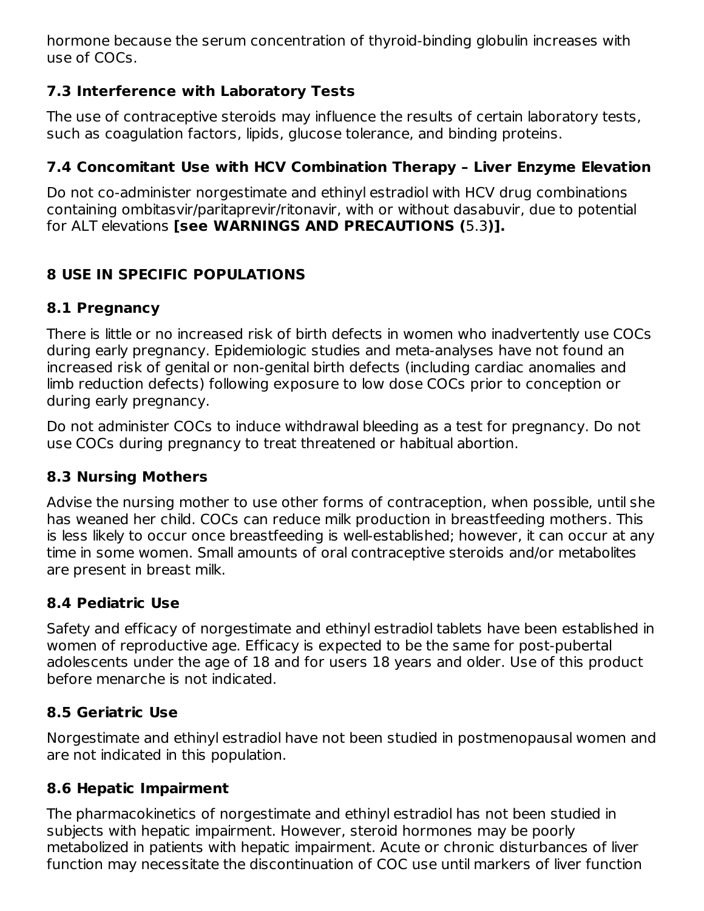hormone because the serum concentration of thyroid-binding globulin increases with use of COCs.

## **7.3 Interference with Laboratory Tests**

The use of contraceptive steroids may influence the results of certain laboratory tests, such as coagulation factors, lipids, glucose tolerance, and binding proteins.

## **7.4 Concomitant Use with HCV Combination Therapy – Liver Enzyme Elevation**

Do not co-administer norgestimate and ethinyl estradiol with HCV drug combinations containing ombitasvir/paritaprevir/ritonavir, with or without dasabuvir, due to potential for ALT elevations **[see WARNINGS AND PRECAUTIONS (**5.3**)].**

## **8 USE IN SPECIFIC POPULATIONS**

## **8.1 Pregnancy**

There is little or no increased risk of birth defects in women who inadvertently use COCs during early pregnancy. Epidemiologic studies and meta-analyses have not found an increased risk of genital or non-genital birth defects (including cardiac anomalies and limb reduction defects) following exposure to low dose COCs prior to conception or during early pregnancy.

Do not administer COCs to induce withdrawal bleeding as a test for pregnancy. Do not use COCs during pregnancy to treat threatened or habitual abortion.

## **8.3 Nursing Mothers**

Advise the nursing mother to use other forms of contraception, when possible, until she has weaned her child. COCs can reduce milk production in breastfeeding mothers. This is less likely to occur once breastfeeding is well-established; however, it can occur at any time in some women. Small amounts of oral contraceptive steroids and/or metabolites are present in breast milk.

## **8.4 Pediatric Use**

Safety and efficacy of norgestimate and ethinyl estradiol tablets have been established in women of reproductive age. Efficacy is expected to be the same for post-pubertal adolescents under the age of 18 and for users 18 years and older. Use of this product before menarche is not indicated.

## **8.5 Geriatric Use**

Norgestimate and ethinyl estradiol have not been studied in postmenopausal women and are not indicated in this population.

## **8.6 Hepatic Impairment**

The pharmacokinetics of norgestimate and ethinyl estradiol has not been studied in subjects with hepatic impairment. However, steroid hormones may be poorly metabolized in patients with hepatic impairment. Acute or chronic disturbances of liver function may necessitate the discontinuation of COC use until markers of liver function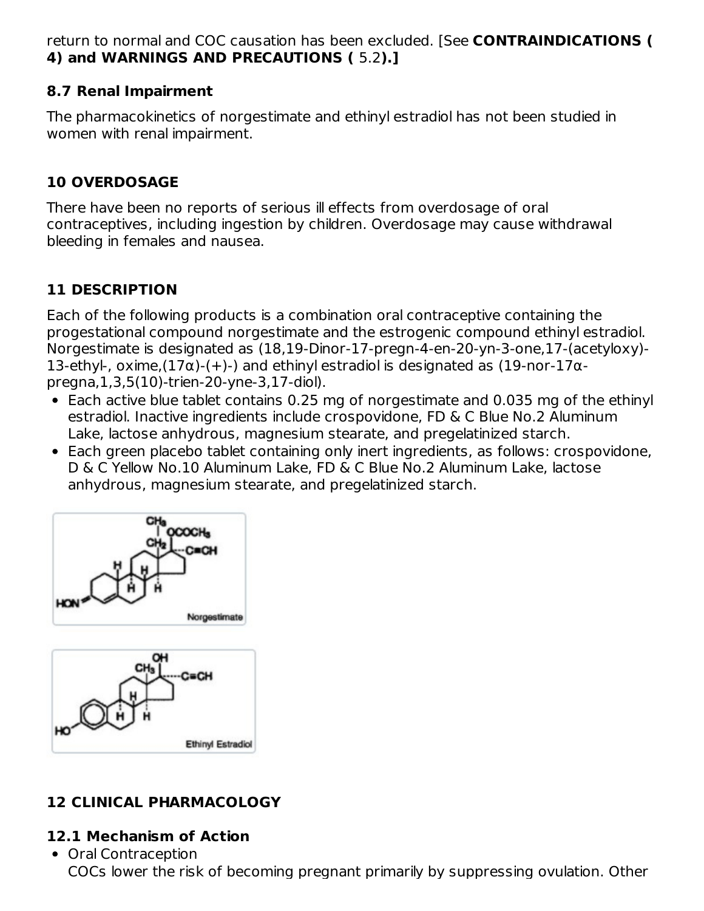return to normal and COC causation has been excluded. [See **CONTRAINDICATIONS ( 4) and WARNINGS AND PRECAUTIONS (** 5.2**).]**

## **8.7 Renal Impairment**

The pharmacokinetics of norgestimate and ethinyl estradiol has not been studied in women with renal impairment.

## **10 OVERDOSAGE**

There have been no reports of serious ill effects from overdosage of oral contraceptives, including ingestion by children. Overdosage may cause withdrawal bleeding in females and nausea.

## **11 DESCRIPTION**

Each of the following products is a combination oral contraceptive containing the progestational compound norgestimate and the estrogenic compound ethinyl estradiol. Norgestimate is designated as (18,19-Dinor-17-pregn-4-en-20-yn-3-one,17-(acetyloxy)- 13-ethyl-, oxime,  $(17α)$ - $(+)$ -) and ethinyl estradiol is designated as  $(19$ -nor- $17α$ pregna,1,3,5(10)-trien-20-yne-3,17-diol).

- Each active blue tablet contains 0.25 mg of norgestimate and 0.035 mg of the ethinyl estradiol. Inactive ingredients include crospovidone, FD & C Blue No.2 Aluminum Lake, lactose anhydrous, magnesium stearate, and pregelatinized starch.
- Each green placebo tablet containing only inert ingredients, as follows: crospovidone, D & C Yellow No.10 Aluminum Lake, FD & C Blue No.2 Aluminum Lake, lactose anhydrous, magnesium stearate, and pregelatinized starch.





# **12 CLINICAL PHARMACOLOGY**

# **12.1 Mechanism of Action**

• Oral Contraception COCs lower the risk of becoming pregnant primarily by suppressing ovulation. Other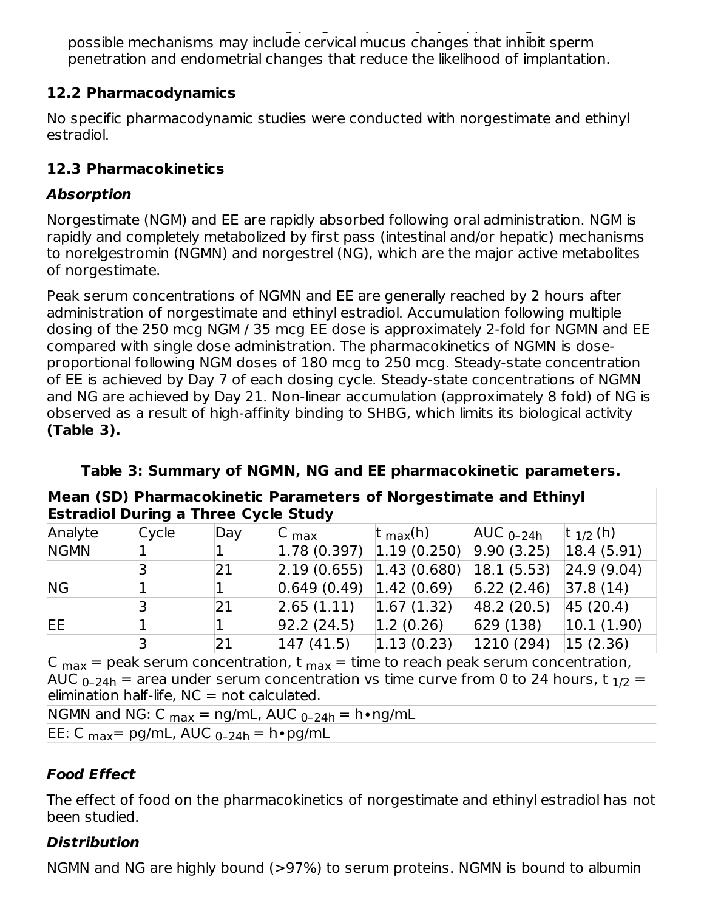COCs lower the risk of becoming pregnant primarily by suppressing ovulation. Other possible mechanisms may include cervical mucus changes that inhibit sperm penetration and endometrial changes that reduce the likelihood of implantation.

## **12.2 Pharmacodynamics**

No specific pharmacodynamic studies were conducted with norgestimate and ethinyl estradiol.

## **12.3 Pharmacokinetics**

## **Absorption**

Norgestimate (NGM) and EE are rapidly absorbed following oral administration. NGM is rapidly and completely metabolized by first pass (intestinal and/or hepatic) mechanisms to norelgestromin (NGMN) and norgestrel (NG), which are the major active metabolites of norgestimate.

Peak serum concentrations of NGMN and EE are generally reached by 2 hours after administration of norgestimate and ethinyl estradiol. Accumulation following multiple dosing of the 250 mcg NGM / 35 mcg EE dose is approximately 2-fold for NGMN and EE compared with single dose administration. The pharmacokinetics of NGMN is doseproportional following NGM doses of 180 mcg to 250 mcg. Steady-state concentration of EE is achieved by Day 7 of each dosing cycle. Steady-state concentrations of NGMN and NG are achieved by Day 21. Non-linear accumulation (approximately 8 fold) of NG is observed as a result of high-affinity binding to SHBG, which limits its biological activity **(Table 3).**

| Mean (SD) Pharmacokinetic Parameters of Norgestimate and Ethinyl<br><b>Estradiol During a Three Cycle Study</b> |       |     |                    |                         |                  |                |
|-----------------------------------------------------------------------------------------------------------------|-------|-----|--------------------|-------------------------|------------------|----------------|
| Analyte                                                                                                         | Cycle | Day | $ C_{\text{max}} $ | t $_{\text{max}}(h)$    | $AUC_{0-24h}$    | $ t_{1/2}$ (h) |
| <b>NGMN</b>                                                                                                     |       |     |                    | 1.78(0.397) 1.19(0.250) | 9.90(3.25)       | 18.4(5.91)     |
|                                                                                                                 |       | 21  | 2.19(0.655)        | 1.43(0.680)             | 18.1(5.53)       | 24.9(9.04)     |
| <b>NG</b>                                                                                                       |       |     | 0.649(0.49)        | 1.42(0.69)              | 6.22(2.46)       | 37.8(14)       |
|                                                                                                                 |       | 21  | 2.65(1.11)         | 1.67(1.32)              | $ 48.2 \ (20.5)$ | 45(20.4)       |
| EE.                                                                                                             |       |     | 92.2(24.5)         | 1.2(0.26)               | 629(138)         | 10.1(1.90)     |
|                                                                                                                 |       | 21  | 147(41.5)          | 1.13(0.23)              | 1210(294)        | 15(2.36)       |

**Table 3: Summary of NGMN, NG and EE pharmacokinetic parameters.**

C  $_{\sf max}$  = peak serum concentration, t  $_{\sf max}$  = time to reach peak serum concentration, AUC  $_{0-24h}$  = area under serum concentration vs time curve from 0 to 24 hours, t  $_{1/2}$  = elimination half-life.  $NC = not$  calculated.

| NGMN and NG: C $_{max}$ = ng/mL, AUC $_{0-24h}$ = h•ng/mL |  |
|-----------------------------------------------------------|--|
| EE: C $_{max}$ = pg/mL, AUC $_{0-24h}$ = h•pg/mL          |  |

## **Food Effect**

The effect of food on the pharmacokinetics of norgestimate and ethinyl estradiol has not been studied.

## **Distribution**

NGMN and NG are highly bound (>97%) to serum proteins. NGMN is bound to albumin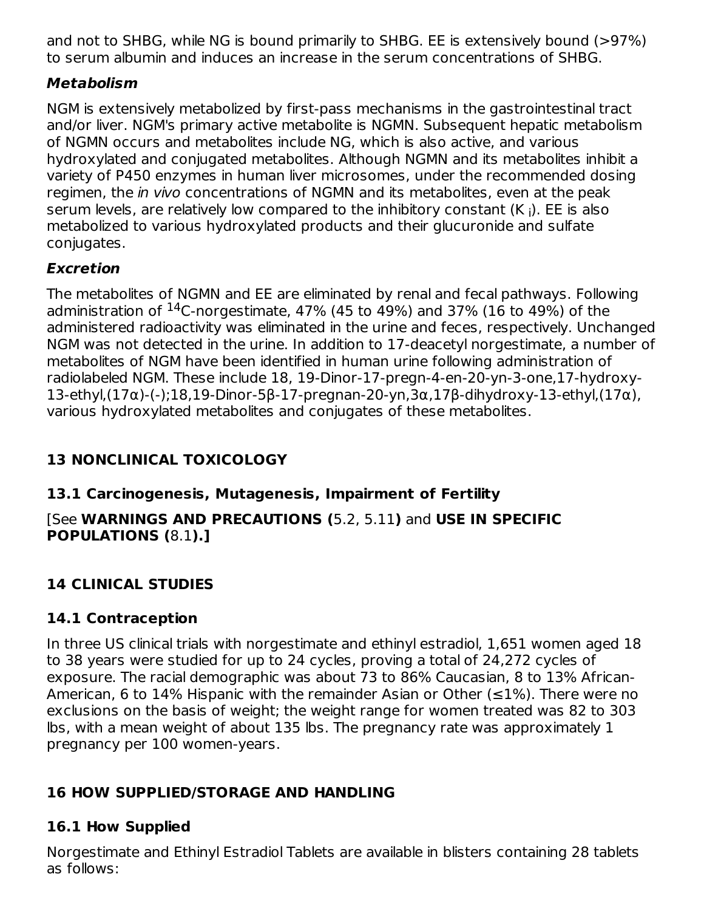and not to SHBG, while NG is bound primarily to SHBG. EE is extensively bound (>97%) to serum albumin and induces an increase in the serum concentrations of SHBG.

### **Metabolism**

NGM is extensively metabolized by first-pass mechanisms in the gastrointestinal tract and/or liver. NGM's primary active metabolite is NGMN. Subsequent hepatic metabolism of NGMN occurs and metabolites include NG, which is also active, and various hydroxylated and conjugated metabolites. Although NGMN and its metabolites inhibit a variety of P450 enzymes in human liver microsomes, under the recommended dosing regimen, the *in vivo* concentrations of NGMN and its metabolites, even at the peak serum levels, are relatively low compared to the inhibitory constant (K  $_{\rm i}$ ). EE is also metabolized to various hydroxylated products and their glucuronide and sulfate conjugates.

## **Excretion**

The metabolites of NGMN and EE are eliminated by renal and fecal pathways. Following administration of  $^{14}$ C-norgestimate, 47% (45 to 49%) and 37% (16 to 49%) of the administered radioactivity was eliminated in the urine and feces, respectively. Unchanged NGM was not detected in the urine. In addition to 17-deacetyl norgestimate, a number of metabolites of NGM have been identified in human urine following administration of radiolabeled NGM. These include 18, 19-Dinor-17-pregn-4-en-20-yn-3-one,17-hydroxy-13-ethyl,(17α)-(-);18,19-Dinor-5β-17-pregnan-20-yn,3α,17β-dihydroxy-13-ethyl,(17α), various hydroxylated metabolites and conjugates of these metabolites.

## **13 NONCLINICAL TOXICOLOGY**

## **13.1 Carcinogenesis, Mutagenesis, Impairment of Fertility**

### [See **WARNINGS AND PRECAUTIONS (**5.2, 5.11**)** and **USE IN SPECIFIC POPULATIONS (**8.1**).]**

## **14 CLINICAL STUDIES**

### **14.1 Contraception**

In three US clinical trials with norgestimate and ethinyl estradiol, 1,651 women aged 18 to 38 years were studied for up to 24 cycles, proving a total of 24,272 cycles of exposure. The racial demographic was about 73 to 86% Caucasian, 8 to 13% African-American, 6 to 14% Hispanic with the remainder Asian or Other  $(\leq 1\%)$ . There were no exclusions on the basis of weight; the weight range for women treated was 82 to 303 lbs, with a mean weight of about 135 lbs. The pregnancy rate was approximately 1 pregnancy per 100 women-years.

## **16 HOW SUPPLIED/STORAGE AND HANDLING**

### **16.1 How Supplied**

Norgestimate and Ethinyl Estradiol Tablets are available in blisters containing 28 tablets as follows: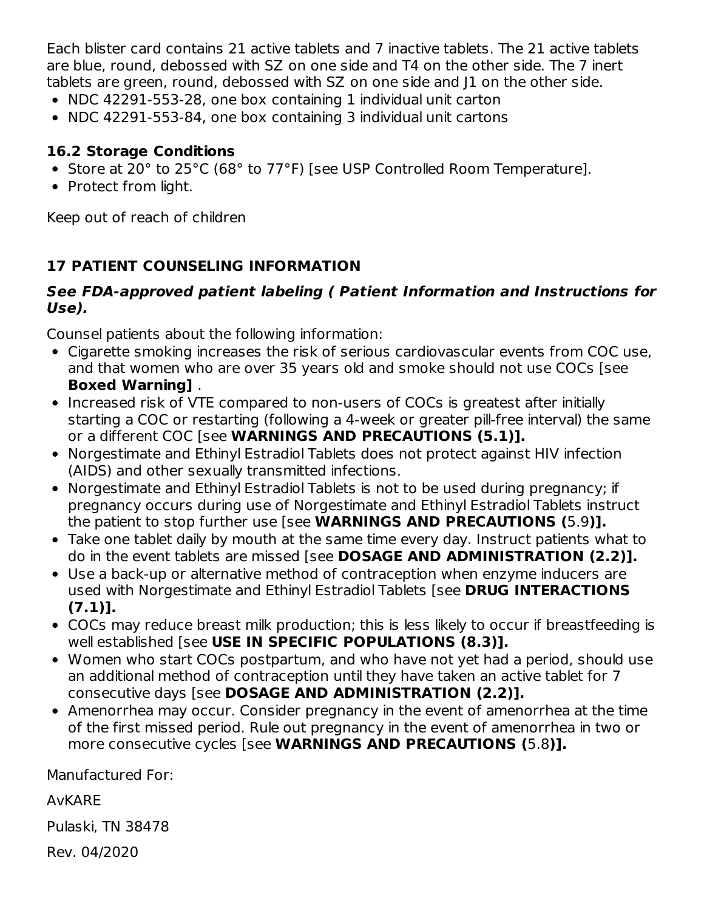Each blister card contains 21 active tablets and 7 inactive tablets. The 21 active tablets are blue, round, debossed with SZ on one side and T4 on the other side. The 7 inert tablets are green, round, debossed with SZ on one side and J1 on the other side.

- NDC 42291-553-28, one box containing 1 individual unit carton
- NDC 42291-553-84, one box containing 3 individual unit cartons

### **16.2 Storage Conditions**

- Store at 20° to 25°C (68° to 77°F) [see USP Controlled Room Temperature].
- Protect from light.

Keep out of reach of children

## **17 PATIENT COUNSELING INFORMATION**

### **See FDA-approved patient labeling ( Patient Information and Instructions for Use).**

Counsel patients about the following information:

- Cigarette smoking increases the risk of serious cardiovascular events from COC use, and that women who are over 35 years old and smoke should not use COCs [see **Boxed Warning]** .
- Increased risk of VTE compared to non-users of COCs is greatest after initially starting a COC or restarting (following a 4-week or greater pill-free interval) the same or a different COC [see **WARNINGS AND PRECAUTIONS (5.1)].**
- Norgestimate and Ethinyl Estradiol Tablets does not protect against HIV infection (AIDS) and other sexually transmitted infections.
- Norgestimate and Ethinyl Estradiol Tablets is not to be used during pregnancy; if pregnancy occurs during use of Norgestimate and Ethinyl Estradiol Tablets instruct the patient to stop further use [see **WARNINGS AND PRECAUTIONS (**5.9**)].**
- Take one tablet daily by mouth at the same time every day. Instruct patients what to do in the event tablets are missed [see **DOSAGE AND ADMINISTRATION (2.2)].**
- Use a back-up or alternative method of contraception when enzyme inducers are used with Norgestimate and Ethinyl Estradiol Tablets [see **DRUG INTERACTIONS (7.1)].**
- COCs may reduce breast milk production; this is less likely to occur if breastfeeding is well established [see **USE IN SPECIFIC POPULATIONS (8.3)].**
- Women who start COCs postpartum, and who have not yet had a period, should use an additional method of contraception until they have taken an active tablet for 7 consecutive days [see **DOSAGE AND ADMINISTRATION (2.2)].**
- Amenorrhea may occur. Consider pregnancy in the event of amenorrhea at the time of the first missed period. Rule out pregnancy in the event of amenorrhea in two or more consecutive cycles [see **WARNINGS AND PRECAUTIONS (**5.8**)].**

Manufactured For:

AvKARE

Pulaski, TN 38478

Rev. 04/2020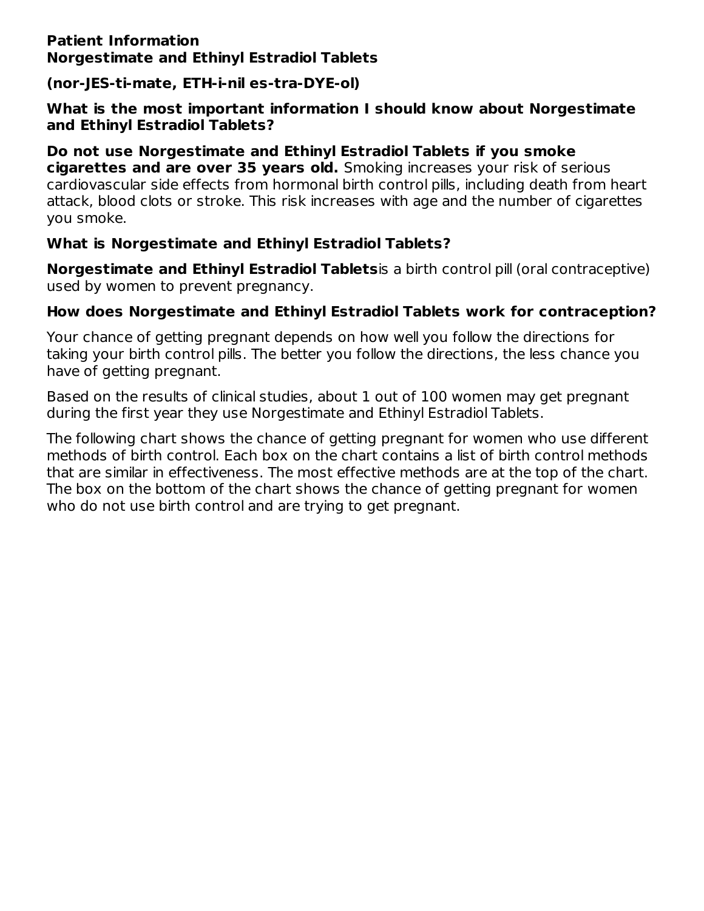### **Patient Information Norgestimate and Ethinyl Estradiol Tablets**

### **(nor-JES-ti-mate, ETH-i-nil es-tra-DYE-ol)**

#### **What is the most important information I should know about Norgestimate and Ethinyl Estradiol Tablets?**

#### **Do not use Norgestimate and Ethinyl Estradiol Tablets if you smoke cigarettes and are over 35 years old.** Smoking increases your risk of serious cardiovascular side effects from hormonal birth control pills, including death from heart attack, blood clots or stroke. This risk increases with age and the number of cigarettes you smoke.

### **What is Norgestimate and Ethinyl Estradiol Tablets?**

**Norgestimate and Ethinyl Estradiol Tablets**is a birth control pill (oral contraceptive) used by women to prevent pregnancy.

### **How does Norgestimate and Ethinyl Estradiol Tablets work for contraception?**

Your chance of getting pregnant depends on how well you follow the directions for taking your birth control pills. The better you follow the directions, the less chance you have of getting pregnant.

Based on the results of clinical studies, about 1 out of 100 women may get pregnant during the first year they use Norgestimate and Ethinyl Estradiol Tablets.

The following chart shows the chance of getting pregnant for women who use different methods of birth control. Each box on the chart contains a list of birth control methods that are similar in effectiveness. The most effective methods are at the top of the chart. The box on the bottom of the chart shows the chance of getting pregnant for women who do not use birth control and are trying to get pregnant.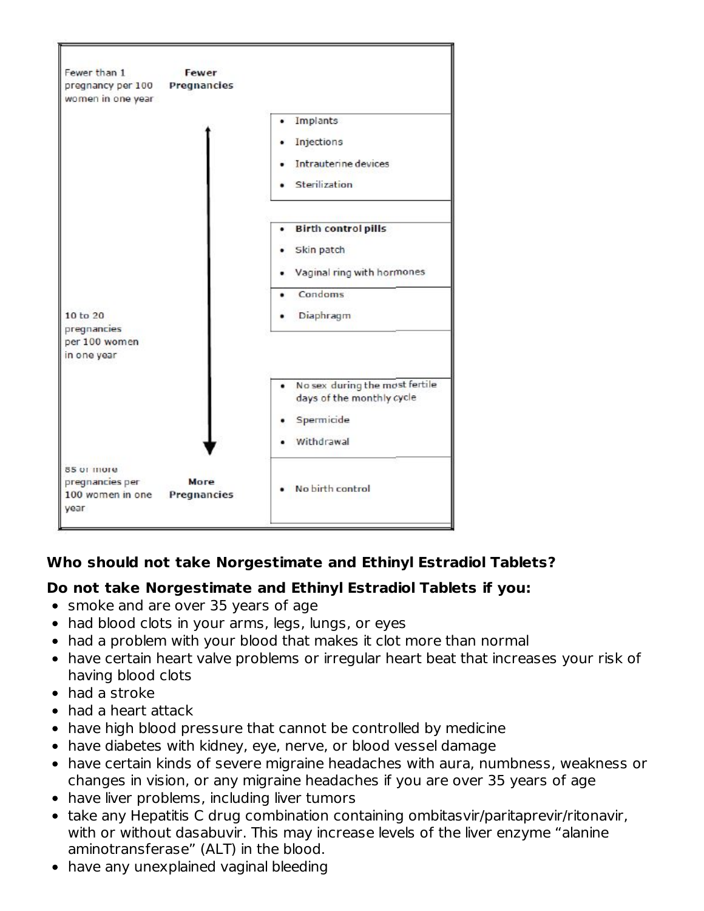

## **Who should not take Norgestimate and Ethinyl Estradiol Tablets?**

### **Do not take Norgestimate and Ethinyl Estradiol Tablets if you:**

- smoke and are over 35 years of age
- had blood clots in your arms, legs, lungs, or eyes
- had a problem with your blood that makes it clot more than normal
- have certain heart valve problems or irregular heart beat that increases your risk of having blood clots
- had a stroke
- had a heart attack
- have high blood pressure that cannot be controlled by medicine
- have diabetes with kidney, eye, nerve, or blood vessel damage
- have certain kinds of severe migraine headaches with aura, numbness, weakness or changes in vision, or any migraine headaches if you are over 35 years of age
- have liver problems, including liver tumors
- take any Hepatitis C drug combination containing ombitasvir/paritaprevir/ritonavir, with or without dasabuvir. This may increase levels of the liver enzyme "alanine aminotransferase" (ALT) in the blood.
- have any unexplained vaginal bleeding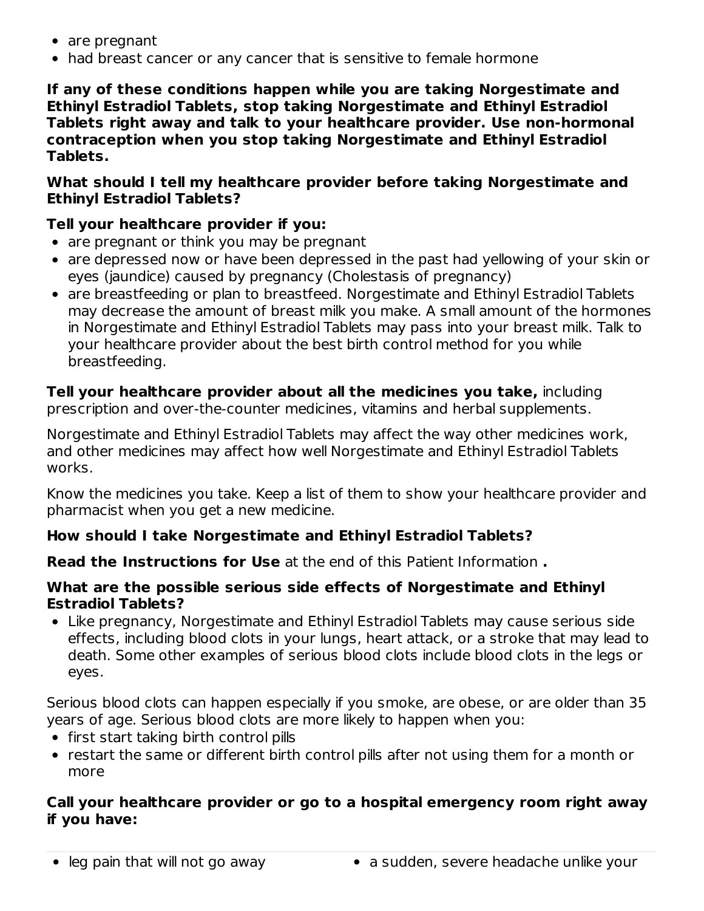- are pregnant
- had breast cancer or any cancer that is sensitive to female hormone

**If any of these conditions happen while you are taking Norgestimate and Ethinyl Estradiol Tablets, stop taking Norgestimate and Ethinyl Estradiol Tablets right away and talk to your healthcare provider. Use non-hormonal contraception when you stop taking Norgestimate and Ethinyl Estradiol Tablets.**

### **What should I tell my healthcare provider before taking Norgestimate and Ethinyl Estradiol Tablets?**

### **Tell your healthcare provider if you:**

- are pregnant or think you may be pregnant
- are depressed now or have been depressed in the past had yellowing of your skin or eyes (jaundice) caused by pregnancy (Cholestasis of pregnancy)
- are breastfeeding or plan to breastfeed. Norgestimate and Ethinyl Estradiol Tablets may decrease the amount of breast milk you make. A small amount of the hormones in Norgestimate and Ethinyl Estradiol Tablets may pass into your breast milk. Talk to your healthcare provider about the best birth control method for you while breastfeeding.

## **Tell your healthcare provider about all the medicines you take,** including

prescription and over-the-counter medicines, vitamins and herbal supplements.

Norgestimate and Ethinyl Estradiol Tablets may affect the way other medicines work, and other medicines may affect how well Norgestimate and Ethinyl Estradiol Tablets works.

Know the medicines you take. Keep a list of them to show your healthcare provider and pharmacist when you get a new medicine.

## **How should I take Norgestimate and Ethinyl Estradiol Tablets?**

**Read the Instructions for Use** at the end of this Patient Information **.**

### **What are the possible serious side effects of Norgestimate and Ethinyl Estradiol Tablets?**

Like pregnancy, Norgestimate and Ethinyl Estradiol Tablets may cause serious side effects, including blood clots in your lungs, heart attack, or a stroke that may lead to death. Some other examples of serious blood clots include blood clots in the legs or eyes.

Serious blood clots can happen especially if you smoke, are obese, or are older than 35 years of age. Serious blood clots are more likely to happen when you:

- first start taking birth control pills
- restart the same or different birth control pills after not using them for a month or more

### **Call your healthcare provider or go to a hospital emergency room right away if you have:**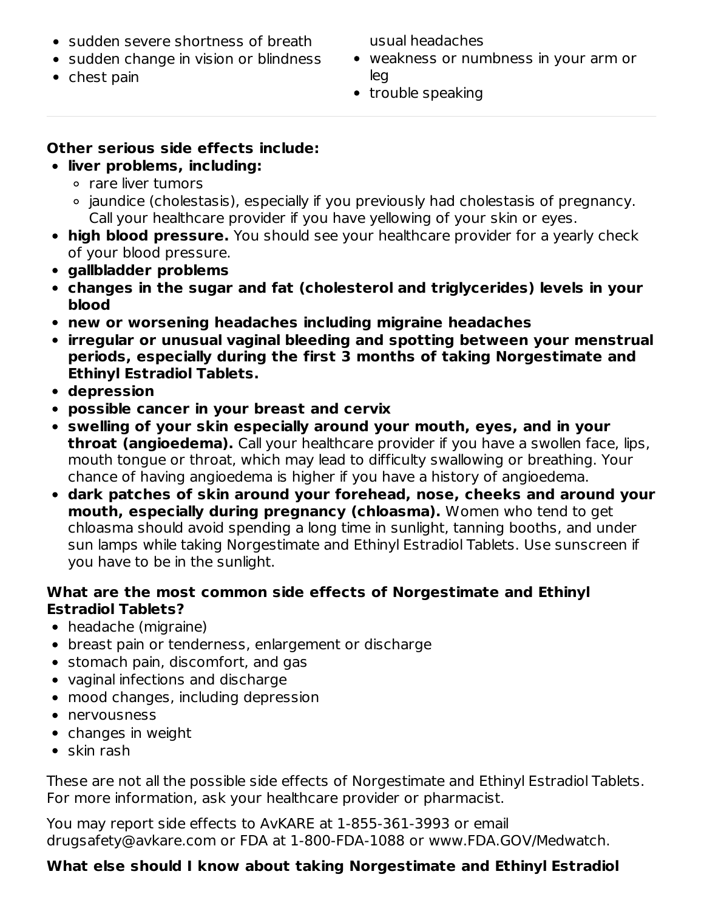- sudden severe shortness of breath
- sudden change in vision or blindness
- $\bullet$  chest pain

usual headaches

- weakness or numbness in your arm or leg
- trouble speaking

## **Other serious side effects include:**

## **liver problems, including:**

- o rare liver tumors
- <sup>o</sup> jaundice (cholestasis), especially if you previously had cholestasis of pregnancy. Call your healthcare provider if you have yellowing of your skin or eyes.
- **high blood pressure.** You should see your healthcare provider for a yearly check of your blood pressure.
- **gallbladder problems**
- **changes in the sugar and fat (cholesterol and triglycerides) levels in your blood**
- **new or worsening headaches including migraine headaches**
- **irregular or unusual vaginal bleeding and spotting between your menstrual periods, especially during the first 3 months of taking Norgestimate and Ethinyl Estradiol Tablets.**
- **depression**
- **possible cancer in your breast and cervix**
- **swelling of your skin especially around your mouth, eyes, and in your throat (angioedema).** Call your healthcare provider if you have a swollen face, lips, mouth tongue or throat, which may lead to difficulty swallowing or breathing. Your chance of having angioedema is higher if you have a history of angioedema.
- **dark patches of skin around your forehead, nose, cheeks and around your mouth, especially during pregnancy (chloasma).** Women who tend to get chloasma should avoid spending a long time in sunlight, tanning booths, and under sun lamps while taking Norgestimate and Ethinyl Estradiol Tablets. Use sunscreen if you have to be in the sunlight.

### **What are the most common side effects of Norgestimate and Ethinyl Estradiol Tablets?**

- headache (migraine)
- breast pain or tenderness, enlargement or discharge
- stomach pain, discomfort, and gas
- vaginal infections and discharge
- mood changes, including depression
- nervousness
- changes in weight
- $\bullet$  skin rash

These are not all the possible side effects of Norgestimate and Ethinyl Estradiol Tablets. For more information, ask your healthcare provider or pharmacist.

You may report side effects to AvKARE at 1-855-361-3993 or email drugsafety@avkare.com or FDA at 1-800-FDA-1088 or www.FDA.GOV/Medwatch.

## **What else should I know about taking Norgestimate and Ethinyl Estradiol**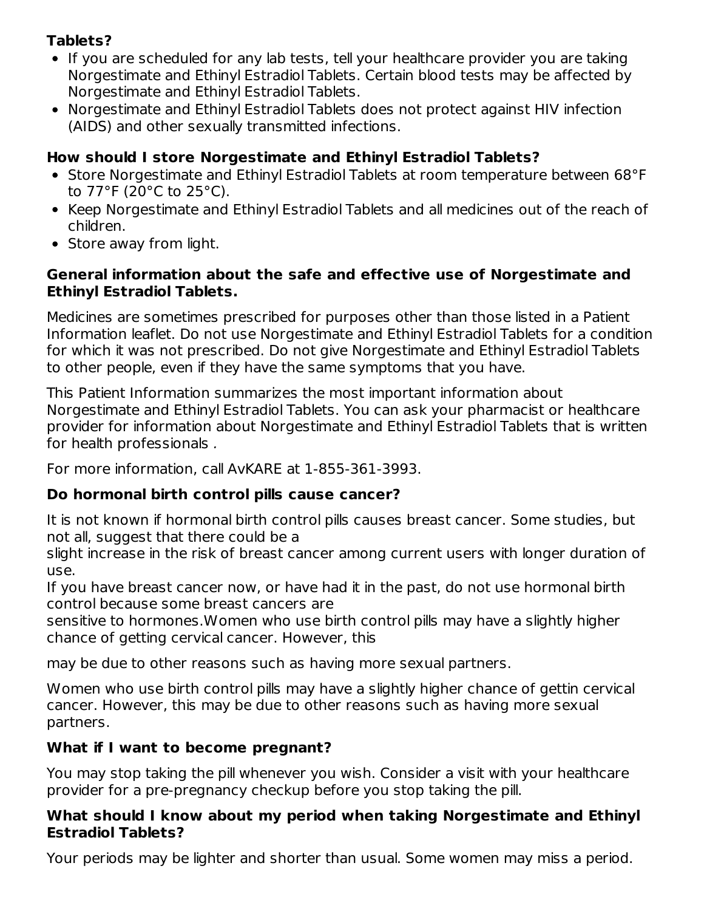## **Tablets?**

- If you are scheduled for any lab tests, tell your healthcare provider you are taking Norgestimate and Ethinyl Estradiol Tablets. Certain blood tests may be affected by Norgestimate and Ethinyl Estradiol Tablets.
- Norgestimate and Ethinyl Estradiol Tablets does not protect against HIV infection (AIDS) and other sexually transmitted infections.

## **How should I store Norgestimate and Ethinyl Estradiol Tablets?**

- Store Norgestimate and Ethinyl Estradiol Tablets at room temperature between 68°F to 77°F (20°C to 25°C).
- Keep Norgestimate and Ethinyl Estradiol Tablets and all medicines out of the reach of children.
- Store away from light.

### **General information about the safe and effective use of Norgestimate and Ethinyl Estradiol Tablets.**

Medicines are sometimes prescribed for purposes other than those listed in a Patient Information leaflet. Do not use Norgestimate and Ethinyl Estradiol Tablets for a condition for which it was not prescribed. Do not give Norgestimate and Ethinyl Estradiol Tablets to other people, even if they have the same symptoms that you have.

This Patient Information summarizes the most important information about Norgestimate and Ethinyl Estradiol Tablets. You can ask your pharmacist or healthcare provider for information about Norgestimate and Ethinyl Estradiol Tablets that is written for health professionals .

For more information, call AvKARE at 1-855-361-3993.

## **Do hormonal birth control pills cause cancer?**

It is not known if hormonal birth control pills causes breast cancer. Some studies, but not all, suggest that there could be a

slight increase in the risk of breast cancer among current users with longer duration of use.

If you have breast cancer now, or have had it in the past, do not use hormonal birth control because some breast cancers are

sensitive to hormones.Women who use birth control pills may have a slightly higher chance of getting cervical cancer. However, this

may be due to other reasons such as having more sexual partners.

Women who use birth control pills may have a slightly higher chance of gettin cervical cancer. However, this may be due to other reasons such as having more sexual partners.

## **What if I want to become pregnant?**

You may stop taking the pill whenever you wish. Consider a visit with your healthcare provider for a pre-pregnancy checkup before you stop taking the pill.

### **What should I know about my period when taking Norgestimate and Ethinyl Estradiol Tablets?**

Your periods may be lighter and shorter than usual. Some women may miss a period.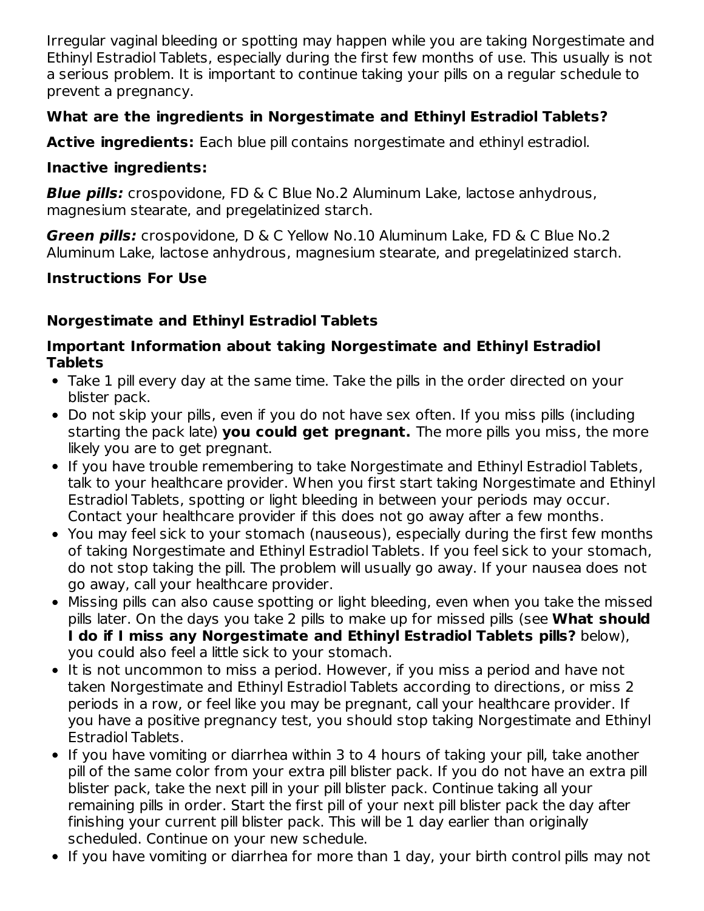Irregular vaginal bleeding or spotting may happen while you are taking Norgestimate and Ethinyl Estradiol Tablets, especially during the first few months of use. This usually is not a serious problem. It is important to continue taking your pills on a regular schedule to prevent a pregnancy.

## **What are the ingredients in Norgestimate and Ethinyl Estradiol Tablets?**

**Active ingredients:** Each blue pill contains norgestimate and ethinyl estradiol.

### **Inactive ingredients:**

**Blue pills:** crospovidone, FD & C Blue No.2 Aluminum Lake, lactose anhydrous, magnesium stearate, and pregelatinized starch.

**Green pills:** crospovidone, D & C Yellow No.10 Aluminum Lake, FD & C Blue No.2 Aluminum Lake, lactose anhydrous, magnesium stearate, and pregelatinized starch.

## **Instructions For Use**

## **Norgestimate and Ethinyl Estradiol Tablets**

### **Important Information about taking Norgestimate and Ethinyl Estradiol Tablets**

- Take 1 pill every day at the same time. Take the pills in the order directed on your blister pack.
- Do not skip your pills, even if you do not have sex often. If you miss pills (including starting the pack late) **you could get pregnant.** The more pills you miss, the more likely you are to get pregnant.
- If you have trouble remembering to take Norgestimate and Ethinyl Estradiol Tablets, talk to your healthcare provider. When you first start taking Norgestimate and Ethinyl Estradiol Tablets, spotting or light bleeding in between your periods may occur. Contact your healthcare provider if this does not go away after a few months.
- You may feel sick to your stomach (nauseous), especially during the first few months of taking Norgestimate and Ethinyl Estradiol Tablets. If you feel sick to your stomach, do not stop taking the pill. The problem will usually go away. If your nausea does not go away, call your healthcare provider.
- Missing pills can also cause spotting or light bleeding, even when you take the missed pills later. On the days you take 2 pills to make up for missed pills (see **What should I do if I miss any Norgestimate and Ethinyl Estradiol Tablets pills?** below), you could also feel a little sick to your stomach.
- It is not uncommon to miss a period. However, if you miss a period and have not taken Norgestimate and Ethinyl Estradiol Tablets according to directions, or miss 2 periods in a row, or feel like you may be pregnant, call your healthcare provider. If you have a positive pregnancy test, you should stop taking Norgestimate and Ethinyl Estradiol Tablets.
- If you have vomiting or diarrhea within 3 to 4 hours of taking your pill, take another pill of the same color from your extra pill blister pack. If you do not have an extra pill blister pack, take the next pill in your pill blister pack. Continue taking all your remaining pills in order. Start the first pill of your next pill blister pack the day after finishing your current pill blister pack. This will be 1 day earlier than originally scheduled. Continue on your new schedule.
- If you have vomiting or diarrhea for more than 1 day, your birth control pills may not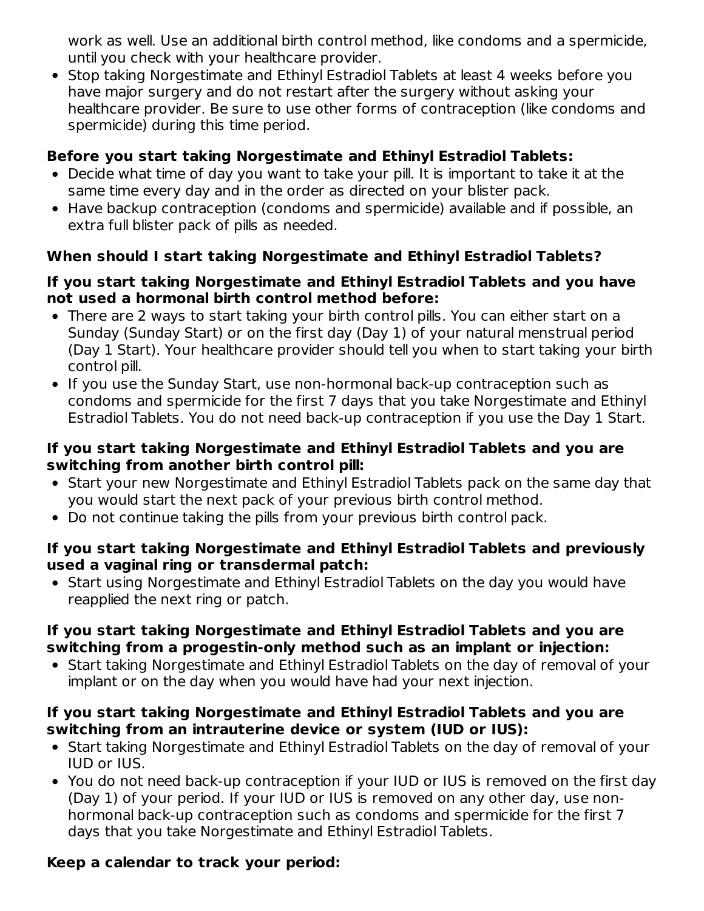work as well. Use an additional birth control method, like condoms and a spermicide, until you check with your healthcare provider.

• Stop taking Norgestimate and Ethinyl Estradiol Tablets at least 4 weeks before you have major surgery and do not restart after the surgery without asking your healthcare provider. Be sure to use other forms of contraception (like condoms and spermicide) during this time period.

### **Before you start taking Norgestimate and Ethinyl Estradiol Tablets:**

- Decide what time of day you want to take your pill. It is important to take it at the same time every day and in the order as directed on your blister pack.
- Have backup contraception (condoms and spermicide) available and if possible, an extra full blister pack of pills as needed.

### **When should I start taking Norgestimate and Ethinyl Estradiol Tablets?**

### **If you start taking Norgestimate and Ethinyl Estradiol Tablets and you have not used a hormonal birth control method before:**

- There are 2 ways to start taking your birth control pills. You can either start on a Sunday (Sunday Start) or on the first day (Day 1) of your natural menstrual period (Day 1 Start). Your healthcare provider should tell you when to start taking your birth control pill.
- If you use the Sunday Start, use non-hormonal back-up contraception such as condoms and spermicide for the first 7 days that you take Norgestimate and Ethinyl Estradiol Tablets. You do not need back-up contraception if you use the Day 1 Start.

### **If you start taking Norgestimate and Ethinyl Estradiol Tablets and you are switching from another birth control pill:**

- Start your new Norgestimate and Ethinyl Estradiol Tablets pack on the same day that you would start the next pack of your previous birth control method.
- Do not continue taking the pills from your previous birth control pack.

#### **If you start taking Norgestimate and Ethinyl Estradiol Tablets and previously used a vaginal ring or transdermal patch:**

• Start using Norgestimate and Ethinyl Estradiol Tablets on the day you would have reapplied the next ring or patch.

### **If you start taking Norgestimate and Ethinyl Estradiol Tablets and you are switching from a progestin-only method such as an implant or injection:**

Start taking Norgestimate and Ethinyl Estradiol Tablets on the day of removal of your implant or on the day when you would have had your next injection.

#### **If you start taking Norgestimate and Ethinyl Estradiol Tablets and you are switching from an intrauterine device or system (IUD or IUS):**

- Start taking Norgestimate and Ethinyl Estradiol Tablets on the day of removal of your IUD or IUS.
- You do not need back-up contraception if your IUD or IUS is removed on the first day (Day 1) of your period. If your IUD or IUS is removed on any other day, use nonhormonal back-up contraception such as condoms and spermicide for the first 7 days that you take Norgestimate and Ethinyl Estradiol Tablets.

### **Keep a calendar to track your period:**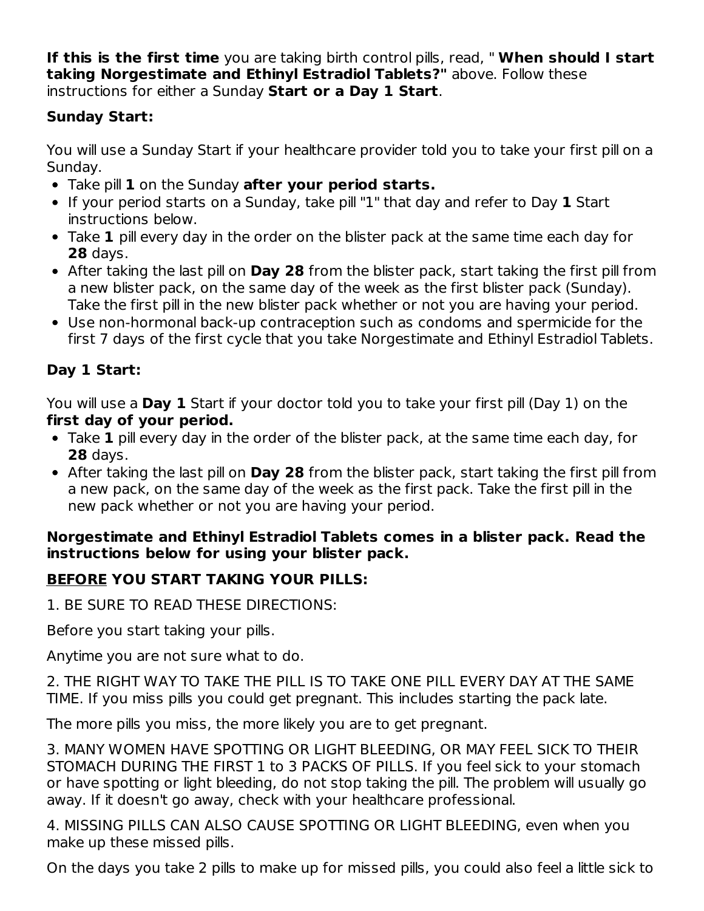**If this is the first time** you are taking birth control pills, read, " **When should I start taking Norgestimate and Ethinyl Estradiol Tablets?"** above. Follow these instructions for either a Sunday **Start or a Day 1 Start**.

## **Sunday Start:**

You will use a Sunday Start if your healthcare provider told you to take your first pill on a Sunday.

- Take pill **1** on the Sunday **after your period starts.**
- If your period starts on a Sunday, take pill "1" that day and refer to Day **1** Start instructions below.
- Take **1** pill every day in the order on the blister pack at the same time each day for **28** days.
- After taking the last pill on **Day 28** from the blister pack, start taking the first pill from a new blister pack, on the same day of the week as the first blister pack (Sunday). Take the first pill in the new blister pack whether or not you are having your period.
- Use non-hormonal back-up contraception such as condoms and spermicide for the first 7 days of the first cycle that you take Norgestimate and Ethinyl Estradiol Tablets.

## **Day 1 Start:**

You will use a **Day 1** Start if your doctor told you to take your first pill (Day 1) on the **first day of your period.**

- Take **1** pill every day in the order of the blister pack, at the same time each day, for **28** days.
- After taking the last pill on **Day 28** from the blister pack, start taking the first pill from a new pack, on the same day of the week as the first pack. Take the first pill in the new pack whether or not you are having your period.

## **Norgestimate and Ethinyl Estradiol Tablets comes in a blister pack. Read the instructions below for using your blister pack.**

## **BEFORE YOU START TAKING YOUR PILLS:**

1. BE SURE TO READ THESE DIRECTIONS:

Before you start taking your pills.

Anytime you are not sure what to do.

2. THE RIGHT WAY TO TAKE THE PILL IS TO TAKE ONE PILL EVERY DAY AT THE SAME TIME. If you miss pills you could get pregnant. This includes starting the pack late.

The more pills you miss, the more likely you are to get pregnant.

3. MANY WOMEN HAVE SPOTTING OR LIGHT BLEEDING, OR MAY FEEL SICK TO THEIR STOMACH DURING THE FIRST 1 to 3 PACKS OF PILLS. If you feel sick to your stomach or have spotting or light bleeding, do not stop taking the pill. The problem will usually go away. If it doesn't go away, check with your healthcare professional.

4. MISSING PILLS CAN ALSO CAUSE SPOTTING OR LIGHT BLEEDING, even when you make up these missed pills.

On the days you take 2 pills to make up for missed pills, you could also feel a little sick to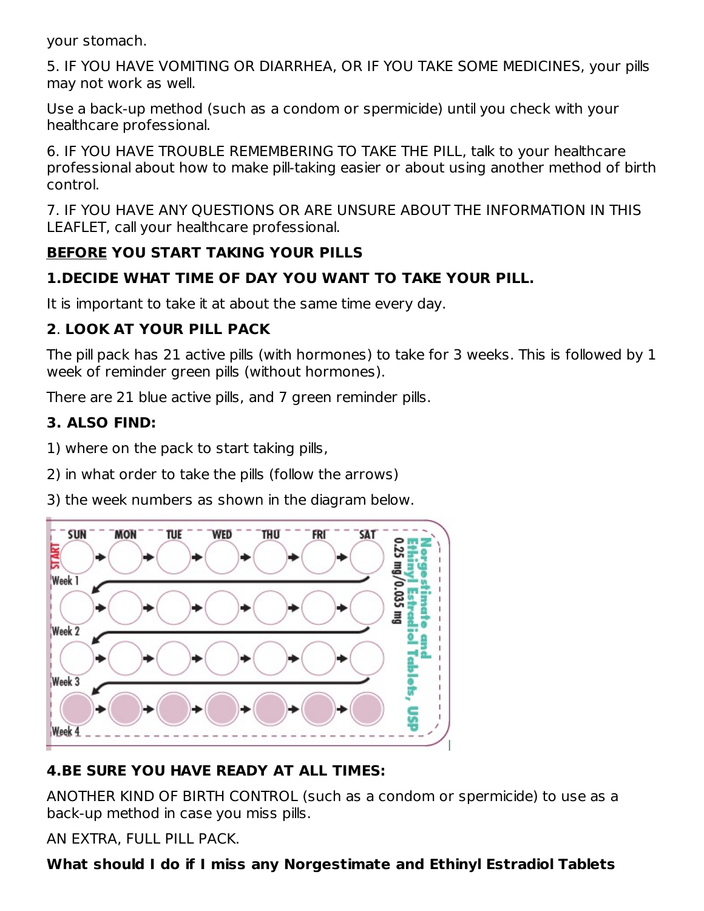your stomach.

5. IF YOU HAVE VOMITING OR DIARRHEA, OR IF YOU TAKE SOME MEDICINES, your pills may not work as well.

Use a back-up method (such as a condom or spermicide) until you check with your healthcare professional.

6. IF YOU HAVE TROUBLE REMEMBERING TO TAKE THE PILL, talk to your healthcare professional about how to make pill-taking easier or about using another method of birth control.

7. IF YOU HAVE ANY QUESTIONS OR ARE UNSURE ABOUT THE INFORMATION IN THIS LEAFLET, call your healthcare professional.

## **BEFORE YOU START TAKING YOUR PILLS**

## **1.DECIDE WHAT TIME OF DAY YOU WANT TO TAKE YOUR PILL.**

It is important to take it at about the same time every day.

## **2**. **LOOK AT YOUR PILL PACK**

The pill pack has 21 active pills (with hormones) to take for 3 weeks. This is followed by 1 week of reminder green pills (without hormones).

There are 21 blue active pills, and 7 green reminder pills.

## **3. ALSO FIND:**

1) where on the pack to start taking pills,

2) in what order to take the pills (follow the arrows)

3) the week numbers as shown in the diagram below.



## **4.BE SURE YOU HAVE READY AT ALL TIMES:**

ANOTHER KIND OF BIRTH CONTROL (such as a condom or spermicide) to use as a back-up method in case you miss pills.

AN EXTRA, FULL PILL PACK.

## **What should I do if I miss any Norgestimate and Ethinyl Estradiol Tablets**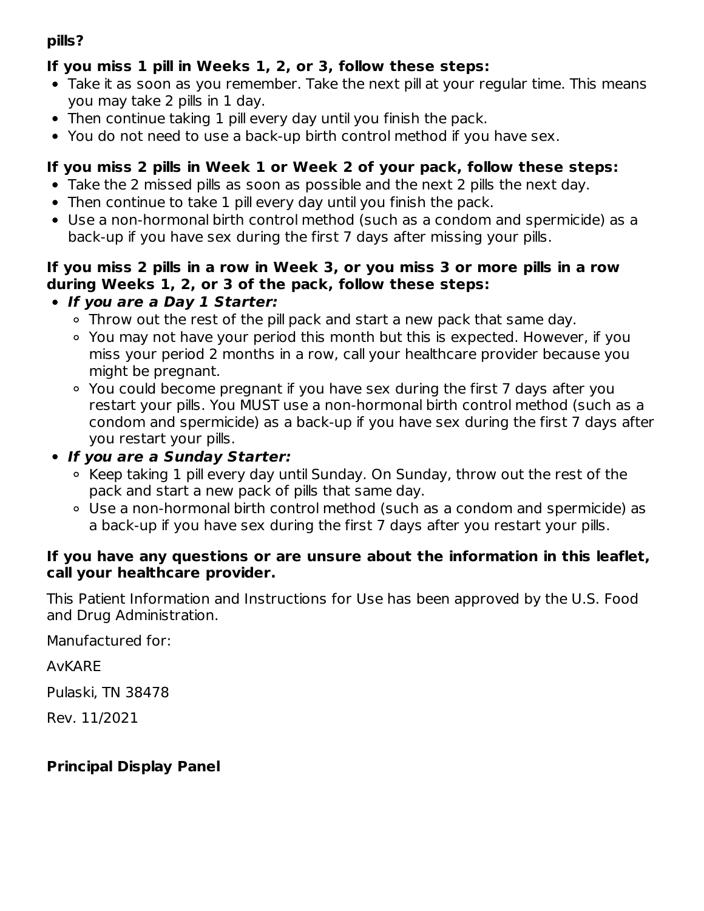### **pills?**

### **If you miss 1 pill in Weeks 1, 2, or 3, follow these steps:**

- Take it as soon as you remember. Take the next pill at your regular time. This means you may take 2 pills in 1 day.
- Then continue taking 1 pill every day until you finish the pack.
- You do not need to use a back-up birth control method if you have sex.

## **If you miss 2 pills in Week 1 or Week 2 of your pack, follow these steps:**

- Take the 2 missed pills as soon as possible and the next 2 pills the next day.
- Then continue to take 1 pill every day until you finish the pack.
- Use a non-hormonal birth control method (such as a condom and spermicide) as a back-up if you have sex during the first 7 days after missing your pills.

## **If you miss 2 pills in a row in Week 3, or you miss 3 or more pills in a row during Weeks 1, 2, or 3 of the pack, follow these steps:**

### **If you are a Day 1 Starter:**

- Throw out the rest of the pill pack and start a new pack that same day.
- You may not have your period this month but this is expected. However, if you miss your period 2 months in a row, call your healthcare provider because you might be pregnant.
- You could become pregnant if you have sex during the first 7 days after you restart your pills. You MUST use a non-hormonal birth control method (such as a condom and spermicide) as a back-up if you have sex during the first 7 days after you restart your pills.

### **If you are a Sunday Starter:**

- ∘ Keep taking 1 pill every day until Sunday. On Sunday, throw out the rest of the pack and start a new pack of pills that same day.
- Use a non-hormonal birth control method (such as a condom and spermicide) as a back-up if you have sex during the first 7 days after you restart your pills.

### **If you have any questions or are unsure about the information in this leaflet, call your healthcare provider.**

This Patient Information and Instructions for Use has been approved by the U.S. Food and Drug Administration.

Manufactured for:

AvKARE

Pulaski, TN 38478

Rev. 11/2021

### **Principal Display Panel**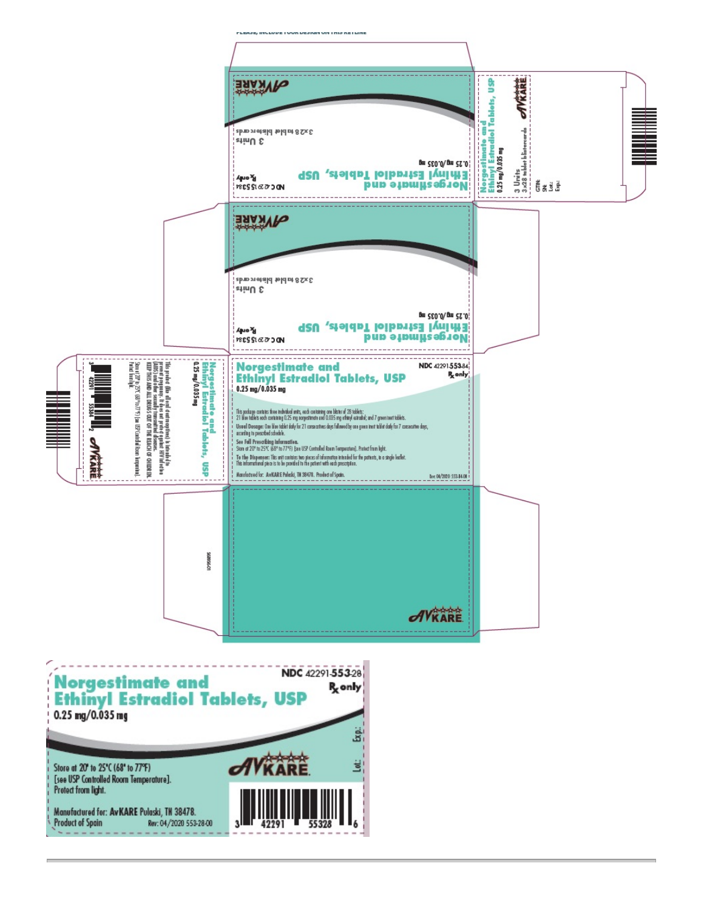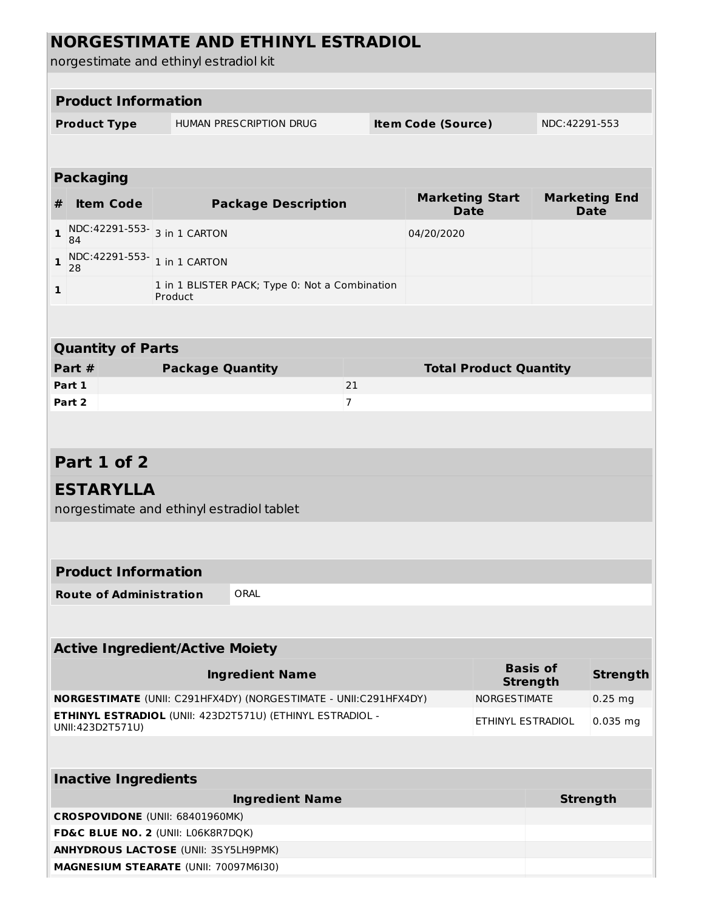## **NORGESTIMATE AND ETHINYL ESTRADIOL** norgestimate and ethinyl estradiol kit **Product Information Product Type** HUMAN PRESCRIPTION DRUG **Item Code (Source)** NDC:42291-553 **Packaging # Item Code Package Description Marketing Start Date Marketing End Date 1** NDC:42291-553- 3 in 1 CARTON 04/20/2020 84 **1** NDC:42291-553- 1 in 1 CARTON 28 **1** 1 in 1 BLISTER PACK; Type 0: Not a Combination Product **Quantity of Parts Part # Package Quantity Total Product Quantity Part 1** 21 **Part 2** 7 **Part 1 of 2 ESTARYLLA** norgestimate and ethinyl estradiol tablet **Product Information Route of Administration** ORAL **Active Ingredient/Active Moiety Ingredient Name Basis of Strength Strength NORGESTIMATE** (UNII: C291HFX4DY) (NORGESTIMATE - UNII:C291HFX4DY) NORGESTIMATE 0.25 mg **ETHINYL ESTRADIOL** (UNII: 423D2T571U) (ETHINYL ESTRADIOL - UNII:423D2T571U) ETHINYL ESTRADIOL 0.035 mg **Inactive Ingredients Ingredient Name Strength CROSPOVIDONE** (UNII: 68401960MK)

**FD&C BLUE NO. 2** (UNII: L06K8R7DQK) **ANHYDROUS LACTOSE** (UNII: 3SY5LH9PMK) **MAGNESIUM STEARATE** (UNII: 70097M6I30)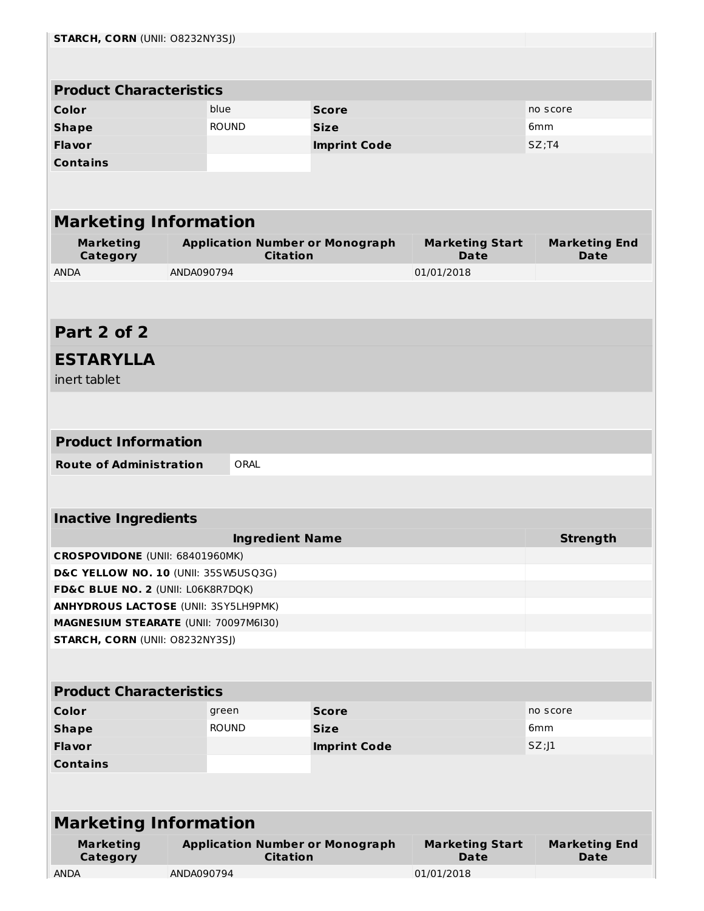| STARCH, CORN (UNII: O8232NY3SJ)             |            |                        |                                        |                                                     |                                     |
|---------------------------------------------|------------|------------------------|----------------------------------------|-----------------------------------------------------|-------------------------------------|
|                                             |            |                        |                                        |                                                     |                                     |
| <b>Product Characteristics</b>              |            |                        |                                        |                                                     |                                     |
| Color                                       | blue       |                        | <b>Score</b>                           |                                                     | no score                            |
|                                             |            | <b>ROUND</b>           | <b>Size</b>                            |                                                     | 6mm                                 |
| <b>Shape</b>                                |            |                        |                                        |                                                     |                                     |
| Flavor                                      |            |                        | <b>Imprint Code</b>                    |                                                     | SZ;T4                               |
| <b>Contains</b>                             |            |                        |                                        |                                                     |                                     |
| <b>Marketing Information</b>                |            |                        |                                        |                                                     |                                     |
| <b>Marketing</b><br>Category                |            | <b>Citation</b>        | <b>Application Number or Monograph</b> | <b>Marketing Start</b><br><b>Date</b>               | <b>Marketing End</b><br>Date        |
| <b>ANDA</b>                                 | ANDA090794 |                        |                                        | 01/01/2018                                          |                                     |
|                                             |            |                        |                                        |                                                     |                                     |
| Part 2 of 2                                 |            |                        |                                        |                                                     |                                     |
| <b>ESTARYLLA</b>                            |            |                        |                                        |                                                     |                                     |
| inert tablet                                |            |                        |                                        |                                                     |                                     |
|                                             |            |                        |                                        |                                                     |                                     |
|                                             |            |                        |                                        |                                                     |                                     |
| <b>Product Information</b>                  |            |                        |                                        |                                                     |                                     |
| <b>Route of Administration</b>              |            | ORAL                   |                                        |                                                     |                                     |
|                                             |            |                        |                                        |                                                     |                                     |
| <b>Inactive Ingredients</b>                 |            |                        |                                        |                                                     |                                     |
|                                             |            |                        |                                        |                                                     |                                     |
|                                             |            |                        |                                        |                                                     |                                     |
| CROSPOVIDONE (UNII: 68401960MK)             |            | <b>Ingredient Name</b> |                                        |                                                     | <b>Strength</b>                     |
| D&C YELLOW NO. 10 (UNII: 35SW5USQ3G)        |            |                        |                                        |                                                     |                                     |
| FD&C BLUE NO. 2 (UNII: L06K8R7DQK)          |            |                        |                                        |                                                     |                                     |
| <b>ANHYDROUS LACTOSE (UNII: 3SY5LH9PMK)</b> |            |                        |                                        |                                                     |                                     |
| MAGNESIUM STEARATE (UNII: 70097M6I30)       |            |                        |                                        |                                                     |                                     |
| STARCH, CORN (UNII: 08232NY3SJ)             |            |                        |                                        |                                                     |                                     |
|                                             |            |                        |                                        |                                                     |                                     |
| <b>Product Characteristics</b>              |            |                        |                                        |                                                     |                                     |
| <b>Color</b>                                | green      |                        | <b>Score</b>                           |                                                     | no score                            |
| <b>Shape</b>                                |            | <b>ROUND</b>           | <b>Size</b>                            |                                                     | 6mm                                 |
| <b>Flavor</b>                               |            |                        | <b>Imprint Code</b>                    |                                                     | SZ; J1                              |
| <b>Contains</b>                             |            |                        |                                        |                                                     |                                     |
|                                             |            |                        |                                        |                                                     |                                     |
| <b>Marketing Information</b>                |            |                        |                                        |                                                     |                                     |
| <b>Marketing</b><br>Category<br><b>ANDA</b> | ANDA090794 | <b>Citation</b>        | <b>Application Number or Monograph</b> | <b>Marketing Start</b><br><b>Date</b><br>01/01/2018 | <b>Marketing End</b><br><b>Date</b> |